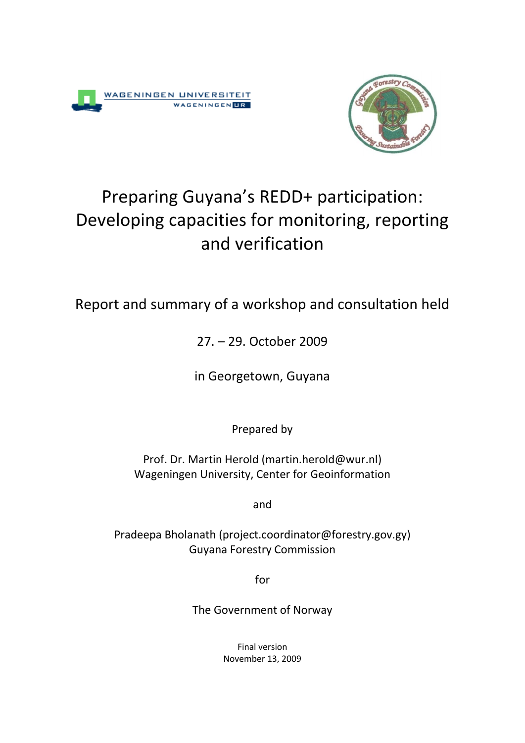



# Preparing Guyana's REDD+ participation: Developing capacities for monitoring, reporting and verification

# Report and summary of a workshop and consultation held

27. – 29. October 2009

in Georgetown, Guyana

Prepared by

Prof. Dr. Martin Herold (martin.herold@wur.nl) Wageningen University, Center for Geoinformation

and

Pradeepa Bholanath (project.coordinator@forestry.gov.gy) Guyana Forestry Commission

for

The Government of Norway

Final version November 13, 2009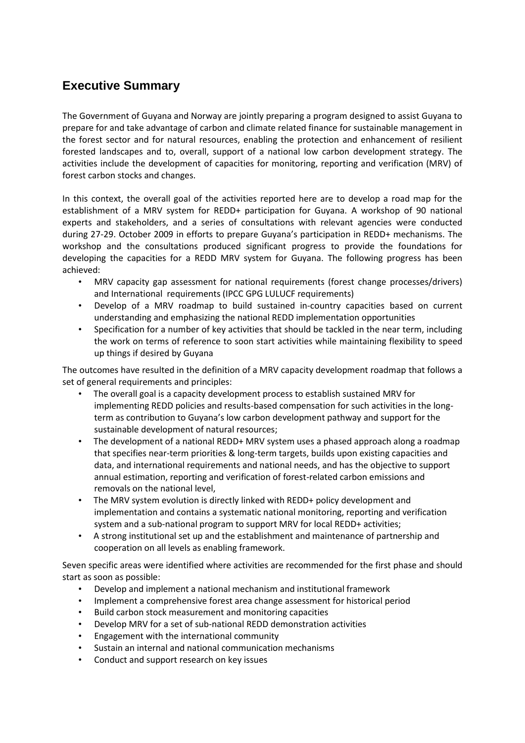### **Executive Summary**

The Government of Guyana and Norway are jointly preparing a program designed to assist Guyana to prepare for and take advantage of carbon and climate related finance for sustainable management in the forest sector and for natural resources, enabling the protection and enhancement of resilient forested landscapes and to, overall, support of a national low carbon development strategy. The activities include the development of capacities for monitoring, reporting and verification (MRV) of forest carbon stocks and changes.

In this context, the overall goal of the activities reported here are to develop a road map for the establishment of a MRV system for REDD+ participation for Guyana. A workshop of 90 national experts and stakeholders, and a series of consultations with relevant agencies were conducted during 27-29. October 2009 in efforts to prepare Guyana's participation in REDD+ mechanisms. The workshop and the consultations produced significant progress to provide the foundations for developing the capacities for a REDD MRV system for Guyana. The following progress has been achieved:

- MRV capacity gap assessment for national requirements (forest change processes/drivers) and International requirements (IPCC GPG LULUCF requirements)
- Develop of a MRV roadmap to build sustained in-country capacities based on current understanding and emphasizing the national REDD implementation opportunities
- Specification for a number of key activities that should be tackled in the near term, including the work on terms of reference to soon start activities while maintaining flexibility to speed up things if desired by Guyana

The outcomes have resulted in the definition of a MRV capacity development roadmap that follows a set of general requirements and principles:

- The overall goal is a capacity development process to establish sustained MRV for implementing REDD policies and results-based compensation for such activities in the longterm as contribution to Guyana's low carbon development pathway and support for the sustainable development of natural resources;
- The development of a national REDD+ MRV system uses a phased approach along a roadmap that specifies near-term priorities & long-term targets, builds upon existing capacities and data, and international requirements and national needs, and has the objective to support annual estimation, reporting and verification of forest-related carbon emissions and removals on the national level,
- The MRV system evolution is directly linked with REDD+ policy development and implementation and contains a systematic national monitoring, reporting and verification system and a sub-national program to support MRV for local REDD+ activities;
- A strong institutional set up and the establishment and maintenance of partnership and cooperation on all levels as enabling framework.

Seven specific areas were identified where activities are recommended for the first phase and should start as soon as possible:

- Develop and implement a national mechanism and institutional framework
- Implement a comprehensive forest area change assessment for historical period
- Build carbon stock measurement and monitoring capacities
- Develop MRV for a set of sub-national REDD demonstration activities
- Engagement with the international community
- Sustain an internal and national communication mechanisms
- Conduct and support research on key issues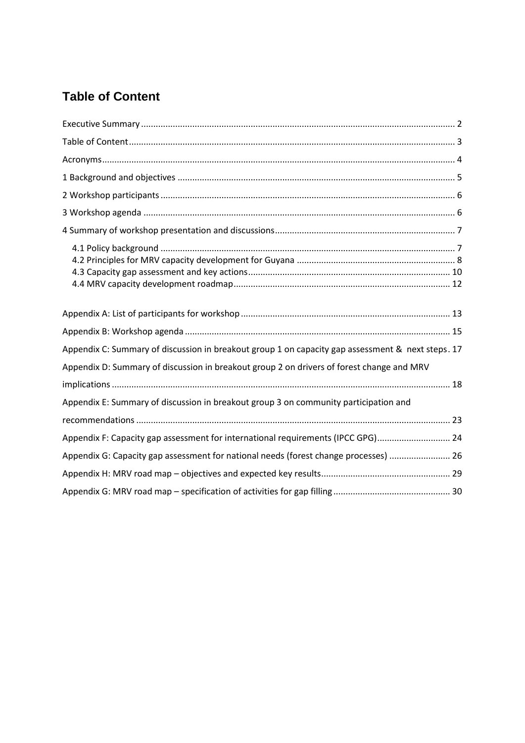# **Table of Content**

| Appendix C: Summary of discussion in breakout group 1 on capacity gap assessment & next steps. 17<br>Appendix D: Summary of discussion in breakout group 2 on drivers of forest change and MRV |
|------------------------------------------------------------------------------------------------------------------------------------------------------------------------------------------------|
|                                                                                                                                                                                                |
| Appendix E: Summary of discussion in breakout group 3 on community participation and                                                                                                           |
|                                                                                                                                                                                                |
| Appendix F: Capacity gap assessment for international requirements (IPCC GPG) 24                                                                                                               |
| Appendix G: Capacity gap assessment for national needs (forest change processes)  26                                                                                                           |
|                                                                                                                                                                                                |
|                                                                                                                                                                                                |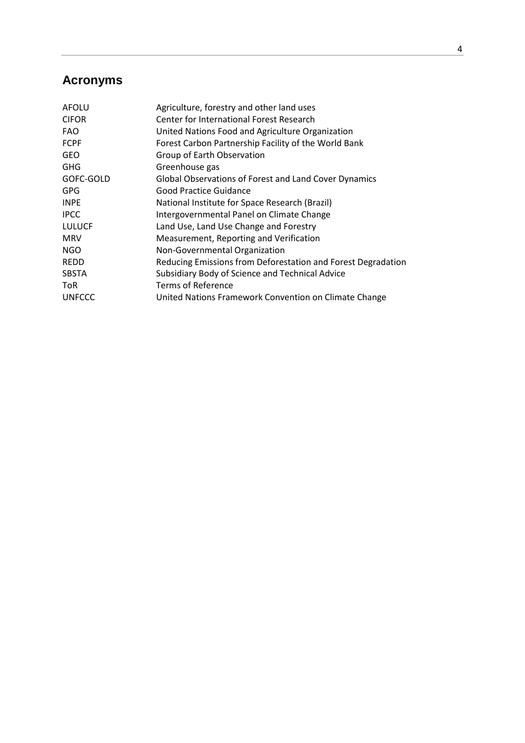## **Acronyms**

| AFOLU         | Agriculture, forestry and other land uses                    |
|---------------|--------------------------------------------------------------|
| <b>CIFOR</b>  | Center for International Forest Research                     |
| <b>FAO</b>    | United Nations Food and Agriculture Organization             |
| <b>FCPF</b>   | Forest Carbon Partnership Facility of the World Bank         |
| <b>GEO</b>    | Group of Earth Observation                                   |
| GHG           | Greenhouse gas                                               |
| GOFC-GOLD     | Global Observations of Forest and Land Cover Dynamics        |
| <b>GPG</b>    | Good Practice Guidance                                       |
| <b>INPE</b>   | National Institute for Space Research (Brazil)               |
| <b>IPCC</b>   | Intergovernmental Panel on Climate Change                    |
| <b>LULUCF</b> | Land Use, Land Use Change and Forestry                       |
| MRV           | Measurement, Reporting and Verification                      |
| NGO           | Non-Governmental Organization                                |
| REDD          | Reducing Emissions from Deforestation and Forest Degradation |
| SBSTA         | Subsidiary Body of Science and Technical Advice              |
| ToR           | <b>Terms of Reference</b>                                    |
| <b>UNFCCC</b> | United Nations Framework Convention on Climate Change        |
|               |                                                              |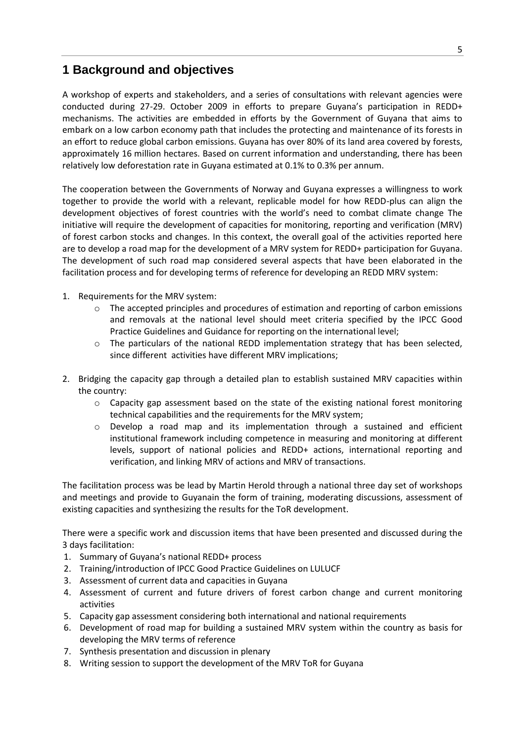### **1 Background and objectives**

A workshop of experts and stakeholders, and a series of consultations with relevant agencies were conducted during 27-29. October 2009 in efforts to prepare Guyana's participation in REDD+ mechanisms. The activities are embedded in efforts by the Government of Guyana that aims to embark on a low carbon economy path that includes the protecting and maintenance of its forests in an effort to reduce global carbon emissions. Guyana has over 80% of its land area covered by forests, approximately 16 million hectares. Based on current information and understanding, there has been relatively low deforestation rate in Guyana estimated at 0.1% to 0.3% per annum.

The cooperation between the Governments of Norway and Guyana expresses a willingness to work together to provide the world with a relevant, replicable model for how REDD-plus can align the development objectives of forest countries with the world's need to combat climate change The initiative will require the development of capacities for monitoring, reporting and verification (MRV) of forest carbon stocks and changes. In this context, the overall goal of the activities reported here are to develop a road map for the development of a MRV system for REDD+ participation for Guyana. The development of such road map considered several aspects that have been elaborated in the facilitation process and for developing terms of reference for developing an REDD MRV system:

- 1. Requirements for the MRV system:
	- o The accepted principles and procedures of estimation and reporting of carbon emissions and removals at the national level should meet criteria specified by the IPCC Good Practice Guidelines and Guidance for reporting on the international level;
	- $\circ$  The particulars of the national REDD implementation strategy that has been selected, since different activities have different MRV implications;
- 2. Bridging the capacity gap through a detailed plan to establish sustained MRV capacities within the country:
	- $\circ$  Capacity gap assessment based on the state of the existing national forest monitoring technical capabilities and the requirements for the MRV system;
	- o Develop a road map and its implementation through a sustained and efficient institutional framework including competence in measuring and monitoring at different levels, support of national policies and REDD+ actions, international reporting and verification, and linking MRV of actions and MRV of transactions.

The facilitation process was be lead by Martin Herold through a national three day set of workshops and meetings and provide to Guyanain the form of training, moderating discussions, assessment of existing capacities and synthesizing the results for the ToR development.

There were a specific work and discussion items that have been presented and discussed during the 3 days facilitation:

- 1. Summary of Guyana's national REDD+ process
- 2. Training/introduction of IPCC Good Practice Guidelines on LULUCF
- 3. Assessment of current data and capacities in Guyana
- 4. Assessment of current and future drivers of forest carbon change and current monitoring activities
- 5. Capacity gap assessment considering both international and national requirements
- 6. Development of road map for building a sustained MRV system within the country as basis for developing the MRV terms of reference
- 7. Synthesis presentation and discussion in plenary
- 8. Writing session to support the development of the MRV ToR for Guyana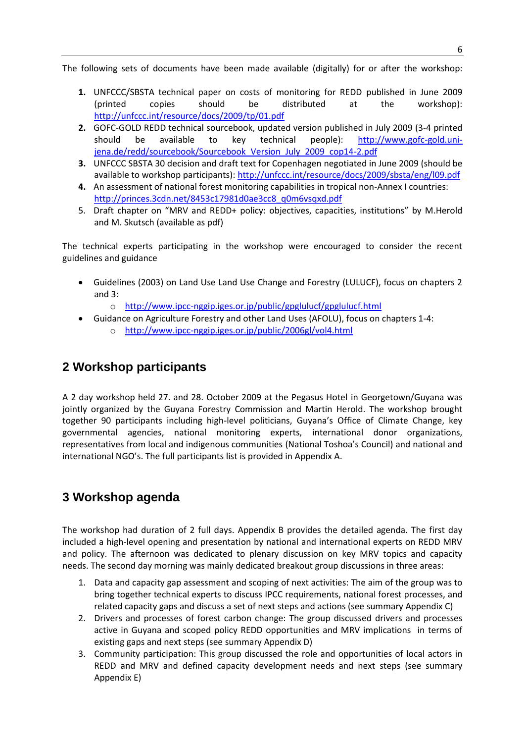The following sets of documents have been made available (digitally) for or after the workshop:

- **1.** UNFCCC/SBSTA technical paper on costs of monitoring for REDD published in June 2009 (printed copies should be distributed at the workshop): <http://unfccc.int/resource/docs/2009/tp/01.pdf>
- **2.** GOFC-GOLD REDD technical sourcebook, updated version published in July 2009 (3-4 printed should be available to key technical people): [http://www.gofc-gold.uni](http://www.gofc-gold.uni-jena.de/redd/sourcebook/Sourcebook_Version_July_2009_cop14-2.pdf)[jena.de/redd/sourcebook/Sourcebook\\_Version\\_July\\_2009\\_cop14-2.pdf](http://www.gofc-gold.uni-jena.de/redd/sourcebook/Sourcebook_Version_July_2009_cop14-2.pdf)
- **3.** UNFCCC SBSTA 30 decision and draft text for Copenhagen negotiated in June 2009 (should be available to workshop participants):<http://unfccc.int/resource/docs/2009/sbsta/eng/l09.pdf>
- **4.** An assessment of national forest monitoring capabilities in tropical non-Annex I countries: [http://princes.3cdn.net/8453c17981d0ae3cc8\\_q0m6vsqxd.pdf](http://princes.3cdn.net/8453c17981d0ae3cc8_q0m6vsqxd.pdf)
- 5. Draft chapter on "MRV and REDD+ policy: objectives, capacities, institutions" by M.Herold and M. Skutsch (available as pdf)

The technical experts participating in the workshop were encouraged to consider the recent guidelines and guidance

- Guidelines (2003) on Land Use Land Use Change and Forestry (LULUCF), focus on chapters 2 and 3:
	- o <http://www.ipcc-nggip.iges.or.jp/public/gpglulucf/gpglulucf.html>
- Guidance on Agriculture Forestry and other Land Uses (AFOLU), focus on chapters 1-4:
	- o <http://www.ipcc-nggip.iges.or.jp/public/2006gl/vol4.html>

### **2 Workshop participants**

A 2 day workshop held 27. and 28. October 2009 at the Pegasus Hotel in Georgetown/Guyana was jointly organized by the Guyana Forestry Commission and Martin Herold. The workshop brought together 90 participants including high-level politicians, Guyana's Office of Climate Change, key governmental agencies, national monitoring experts, international donor organizations, representatives from local and indigenous communities (National Toshoa's Council) and national and international NGO's. The full participants list is provided in Appendix A.

### **3 Workshop agenda**

The workshop had duration of 2 full days. Appendix B provides the detailed agenda. The first day included a high-level opening and presentation by national and international experts on REDD MRV and policy. The afternoon was dedicated to plenary discussion on key MRV topics and capacity needs. The second day morning was mainly dedicated breakout group discussions in three areas:

- 1. Data and capacity gap assessment and scoping of next activities: The aim of the group was to bring together technical experts to discuss IPCC requirements, national forest processes, and related capacity gaps and discuss a set of next steps and actions (see summary Appendix C)
- 2. Drivers and processes of forest carbon change: The group discussed drivers and processes active in Guyana and scoped policy REDD opportunities and MRV implications in terms of existing gaps and next steps (see summary Appendix D)
- 3. Community participation: This group discussed the role and opportunities of local actors in REDD and MRV and defined capacity development needs and next steps (see summary Appendix E)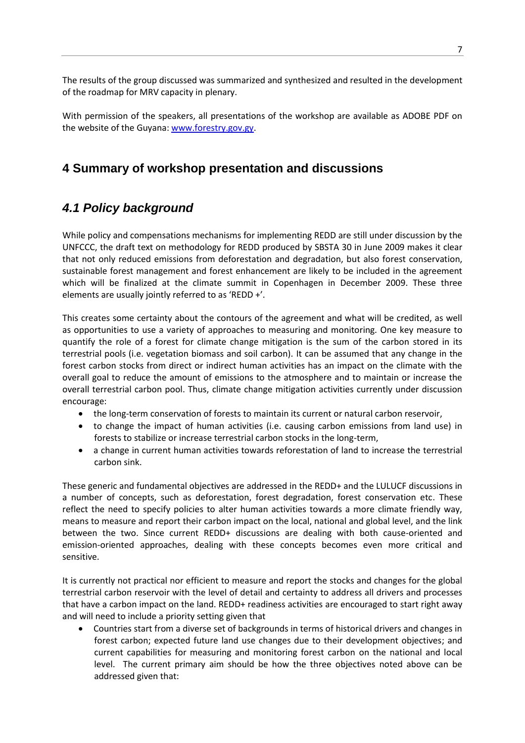The results of the group discussed was summarized and synthesized and resulted in the development of the roadmap for MRV capacity in plenary.

With permission of the speakers, all presentations of the workshop are available as ADOBE PDF on the website of the Guyana: [www.forestry.gov.gy.](http://www.forestry.gov.gy/)

### **4 Summary of workshop presentation and discussions**

### *4.1 Policy background*

While policy and compensations mechanisms for implementing REDD are still under discussion by the UNFCCC, the draft text on methodology for REDD produced by SBSTA 30 in June 2009 makes it clear that not only reduced emissions from deforestation and degradation, but also forest conservation, sustainable forest management and forest enhancement are likely to be included in the agreement which will be finalized at the climate summit in Copenhagen in December 2009. These three elements are usually jointly referred to as 'REDD +'.

This creates some certainty about the contours of the agreement and what will be credited, as well as opportunities to use a variety of approaches to measuring and monitoring. One key measure to quantify the role of a forest for climate change mitigation is the sum of the carbon stored in its terrestrial pools (i.e. vegetation biomass and soil carbon). It can be assumed that any change in the forest carbon stocks from direct or indirect human activities has an impact on the climate with the overall goal to reduce the amount of emissions to the atmosphere and to maintain or increase the overall terrestrial carbon pool. Thus, climate change mitigation activities currently under discussion encourage:

- the long-term conservation of forests to maintain its current or natural carbon reservoir,
- to change the impact of human activities (i.e. causing carbon emissions from land use) in forests to stabilize or increase terrestrial carbon stocks in the long-term,
- a change in current human activities towards reforestation of land to increase the terrestrial carbon sink.

These generic and fundamental objectives are addressed in the REDD+ and the LULUCF discussions in a number of concepts, such as deforestation, forest degradation, forest conservation etc. These reflect the need to specify policies to alter human activities towards a more climate friendly way, means to measure and report their carbon impact on the local, national and global level, and the link between the two. Since current REDD+ discussions are dealing with both cause-oriented and emission-oriented approaches, dealing with these concepts becomes even more critical and sensitive.

It is currently not practical nor efficient to measure and report the stocks and changes for the global terrestrial carbon reservoir with the level of detail and certainty to address all drivers and processes that have a carbon impact on the land. REDD+ readiness activities are encouraged to start right away and will need to include a priority setting given that

 Countries start from a diverse set of backgrounds in terms of historical drivers and changes in forest carbon; expected future land use changes due to their development objectives; and current capabilities for measuring and monitoring forest carbon on the national and local level. The current primary aim should be how the three objectives noted above can be addressed given that: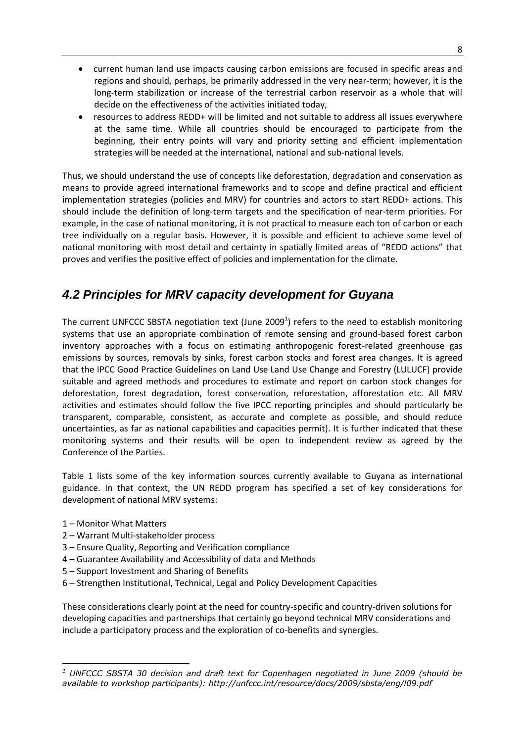- current human land use impacts causing carbon emissions are focused in specific areas and regions and should, perhaps, be primarily addressed in the very near-term; however, it is the long-term stabilization or increase of the terrestrial carbon reservoir as a whole that will decide on the effectiveness of the activities initiated today,
- resources to address REDD+ will be limited and not suitable to address all issues everywhere at the same time. While all countries should be encouraged to participate from the beginning, their entry points will vary and priority setting and efficient implementation strategies will be needed at the international, national and sub-national levels.

Thus, we should understand the use of concepts like deforestation, degradation and conservation as means to provide agreed international frameworks and to scope and define practical and efficient implementation strategies (policies and MRV) for countries and actors to start REDD+ actions. This should include the definition of long-term targets and the specification of near-term priorities. For example, in the case of national monitoring, it is not practical to measure each ton of carbon or each tree individually on a regular basis. However, it is possible and efficient to achieve some level of national monitoring with most detail and certainty in spatially limited areas of "REDD actions" that proves and verifies the positive effect of policies and implementation for the climate.

### *4.2 Principles for MRV capacity development for Guyana*

The current UNFCCC SBSTA negotiation text (June 2009<sup>1</sup>) refers to the need to establish monitoring systems that use an appropriate combination of remote sensing and ground-based forest carbon inventory approaches with a focus on estimating anthropogenic forest-related greenhouse gas emissions by sources, removals by sinks, forest carbon stocks and forest area changes. It is agreed that the IPCC Good Practice Guidelines on Land Use Land Use Change and Forestry (LULUCF) provide suitable and agreed methods and procedures to estimate and report on carbon stock changes for deforestation, forest degradation, forest conservation, reforestation, afforestation etc. All MRV activities and estimates should follow the five IPCC reporting principles and should particularly be transparent, comparable, consistent, as accurate and complete as possible, and should reduce uncertainties, as far as national capabilities and capacities permit). It is further indicated that these monitoring systems and their results will be open to independent review as agreed by the Conference of the Parties.

Table 1 lists some of the key information sources currently available to Guyana as international guidance. In that context, the UN REDD program has specified a set of key considerations for development of national MRV systems:

- 1 Monitor What Matters
- 2 Warrant Multi-stakeholder process
- 3 Ensure Quality, Reporting and Verification compliance
- 4 Guarantee Availability and Accessibility of data and Methods
- 5 Support Investment and Sharing of Benefits
- 6 Strengthen Institutional, Technical, Legal and Policy Development Capacities

These considerations clearly point at the need for country-specific and country-driven solutions for developing capacities and partnerships that certainly go beyond technical MRV considerations and include a participatory process and the exploration of co-benefits and synergies.

**<sup>.</sup>** *<sup>1</sup> UNFCCC SBSTA 30 decision and draft text for Copenhagen negotiated in June 2009 (should be available to workshop participants): http://unfccc.int/resource/docs/2009/sbsta/eng/l09.pdf*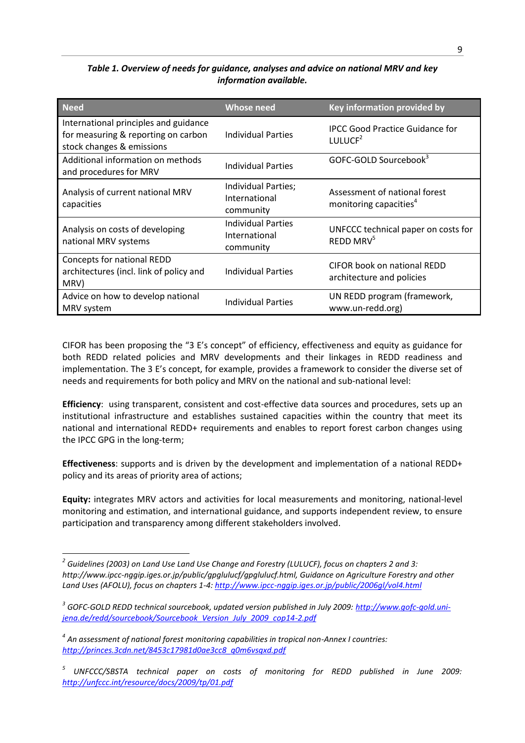#### *Table 1. Overview of needs for guidance, analyses and advice on national MRV and key information available.*

| <b>Need</b>                                                                                               | <b>Whose need</b>                                       | Key information provided by                                         |
|-----------------------------------------------------------------------------------------------------------|---------------------------------------------------------|---------------------------------------------------------------------|
| International principles and guidance<br>for measuring & reporting on carbon<br>stock changes & emissions | <b>Individual Parties</b>                               | <b>IPCC Good Practice Guidance for</b><br>LULUC $F^2$               |
| Additional information on methods<br>and procedures for MRV                                               | <b>Individual Parties</b>                               | GOFC-GOLD Sourcebook <sup>3</sup>                                   |
| Analysis of current national MRV<br>capacities                                                            | Individual Parties;<br>International<br>community       | Assessment of national forest<br>monitoring capacities <sup>4</sup> |
| Analysis on costs of developing<br>national MRV systems                                                   | <b>Individual Parties</b><br>International<br>community | UNFCCC technical paper on costs for<br>REDD MRV <sup>5</sup>        |
| Concepts for national REDD<br>architectures (incl. link of policy and<br>MRV)                             | <b>Individual Parties</b>                               | <b>CIFOR book on national REDD</b><br>architecture and policies     |
| Advice on how to develop national<br>MRV system                                                           | <b>Individual Parties</b>                               | UN REDD program (framework,<br>www.un-redd.org)                     |

CIFOR has been proposing the "3 E's concept" of efficiency, effectiveness and equity as guidance for both REDD related policies and MRV developments and their linkages in REDD readiness and implementation. The 3 E's concept, for example, provides a framework to consider the diverse set of needs and requirements for both policy and MRV on the national and sub-national level:

**Efficiency**: using transparent, consistent and cost-effective data sources and procedures, sets up an institutional infrastructure and establishes sustained capacities within the country that meet its national and international REDD+ requirements and enables to report forest carbon changes using the IPCC GPG in the long-term;

**Effectiveness**: supports and is driven by the development and implementation of a national REDD+ policy and its areas of priority area of actions;

**Equity:** integrates MRV actors and activities for local measurements and monitoring, national-level monitoring and estimation, and international guidance, and supports independent review, to ensure participation and transparency among different stakeholders involved.

1

*<sup>2</sup> Guidelines (2003) on Land Use Land Use Change and Forestry (LULUCF), focus on chapters 2 and 3: http://www.ipcc-nggip.iges.or.jp/public/gpglulucf/gpglulucf.html, Guidance on Agriculture Forestry and other Land Uses (AFOLU), focus on chapters 1-4:<http://www.ipcc-nggip.iges.or.jp/public/2006gl/vol4.html>*

*<sup>3</sup> GOFC-GOLD REDD technical sourcebook, updated version published in July 2009: [http://www.gofc-gold.uni](http://www.gofc-gold.uni-jena.de/redd/sourcebook/Sourcebook_Version_July_2009_cop14-2.pdf)[jena.de/redd/sourcebook/Sourcebook\\_Version\\_July\\_2009\\_cop14-2.pdf](http://www.gofc-gold.uni-jena.de/redd/sourcebook/Sourcebook_Version_July_2009_cop14-2.pdf)*

*<sup>4</sup> An assessment of national forest monitoring capabilities in tropical non-Annex I countries: [http://princes.3cdn.net/8453c17981d0ae3cc8\\_q0m6vsqxd.pdf](http://princes.3cdn.net/8453c17981d0ae3cc8_q0m6vsqxd.pdf)*

<sup>&</sup>lt;sup>5</sup> UNFCCC/SBSTA technical paper on costs of monitoring for REDD published in June 2009: *<http://unfccc.int/resource/docs/2009/tp/01.pdf>*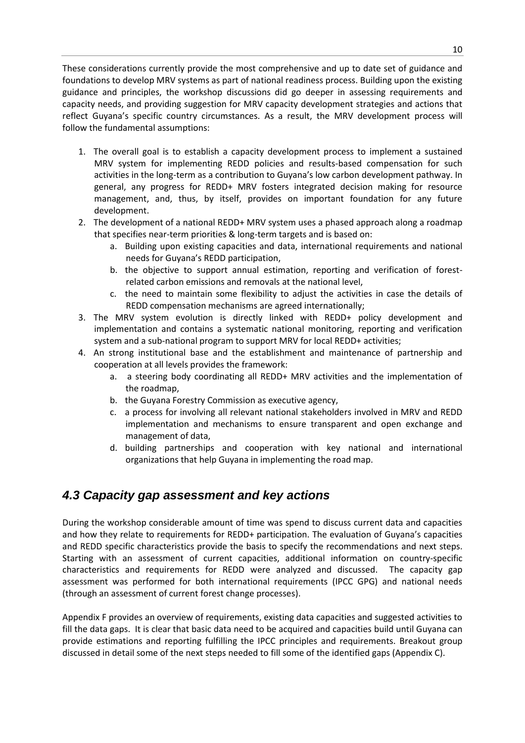These considerations currently provide the most comprehensive and up to date set of guidance and foundations to develop MRV systems as part of national readiness process. Building upon the existing guidance and principles, the workshop discussions did go deeper in assessing requirements and capacity needs, and providing suggestion for MRV capacity development strategies and actions that reflect Guyana's specific country circumstances. As a result, the MRV development process will follow the fundamental assumptions:

- 1. The overall goal is to establish a capacity development process to implement a sustained MRV system for implementing REDD policies and results-based compensation for such activities in the long-term as a contribution to Guyana's low carbon development pathway. In general, any progress for REDD+ MRV fosters integrated decision making for resource management, and, thus, by itself, provides on important foundation for any future development.
- 2. The development of a national REDD+ MRV system uses a phased approach along a roadmap that specifies near-term priorities & long-term targets and is based on:
	- Building upon existing capacities and data, international requirements and national needs for Guyana's REDD participation,
	- b. the objective to support annual estimation, reporting and verification of forestrelated carbon emissions and removals at the national level,
	- c. the need to maintain some flexibility to adjust the activities in case the details of REDD compensation mechanisms are agreed internationally;
- 3. The MRV system evolution is directly linked with REDD+ policy development and implementation and contains a systematic national monitoring, reporting and verification system and a sub-national program to support MRV for local REDD+ activities;
- 4. An strong institutional base and the establishment and maintenance of partnership and cooperation at all levels provides the framework:
	- a. a steering body coordinating all REDD+ MRV activities and the implementation of the roadmap,
	- b. the Guyana Forestry Commission as executive agency,
	- c. a process for involving all relevant national stakeholders involved in MRV and REDD implementation and mechanisms to ensure transparent and open exchange and management of data,
	- d. building partnerships and cooperation with key national and international organizations that help Guyana in implementing the road map.

### *4.3 Capacity gap assessment and key actions*

During the workshop considerable amount of time was spend to discuss current data and capacities and how they relate to requirements for REDD+ participation. The evaluation of Guyana's capacities and REDD specific characteristics provide the basis to specify the recommendations and next steps. Starting with an assessment of current capacities, additional information on country-specific characteristics and requirements for REDD were analyzed and discussed. The capacity gap assessment was performed for both international requirements (IPCC GPG) and national needs (through an assessment of current forest change processes).

Appendix F provides an overview of requirements, existing data capacities and suggested activities to fill the data gaps. It is clear that basic data need to be acquired and capacities build until Guyana can provide estimations and reporting fulfilling the IPCC principles and requirements. Breakout group discussed in detail some of the next steps needed to fill some of the identified gaps (Appendix C).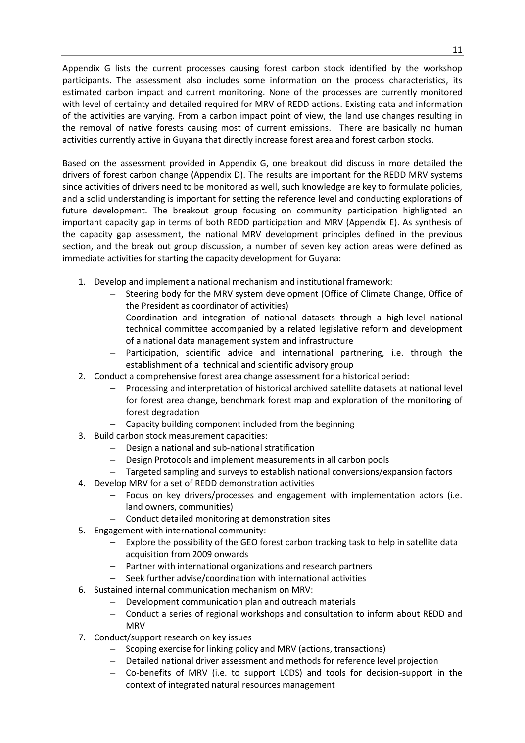Appendix G lists the current processes causing forest carbon stock identified by the workshop participants. The assessment also includes some information on the process characteristics, its estimated carbon impact and current monitoring. None of the processes are currently monitored with level of certainty and detailed required for MRV of REDD actions. Existing data and information of the activities are varying. From a carbon impact point of view, the land use changes resulting in the removal of native forests causing most of current emissions. There are basically no human activities currently active in Guyana that directly increase forest area and forest carbon stocks.

Based on the assessment provided in Appendix G, one breakout did discuss in more detailed the drivers of forest carbon change (Appendix D). The results are important for the REDD MRV systems since activities of drivers need to be monitored as well, such knowledge are key to formulate policies, and a solid understanding is important for setting the reference level and conducting explorations of future development. The breakout group focusing on community participation highlighted an important capacity gap in terms of both REDD participation and MRV (Appendix E). As synthesis of the capacity gap assessment, the national MRV development principles defined in the previous section, and the break out group discussion, a number of seven key action areas were defined as immediate activities for starting the capacity development for Guyana:

- 1. Develop and implement a national mechanism and institutional framework:
	- Steering body for the MRV system development (Office of Climate Change, Office of the President as coordinator of activities)
	- Coordination and integration of national datasets through a high-level national technical committee accompanied by a related legislative reform and development of a national data management system and infrastructure
	- Participation, scientific advice and international partnering, i.e. through the establishment of a technical and scientific advisory group
- 2. Conduct a comprehensive forest area change assessment for a historical period:
	- Processing and interpretation of historical archived satellite datasets at national level for forest area change, benchmark forest map and exploration of the monitoring of forest degradation
	- Capacity building component included from the beginning
- 3. Build carbon stock measurement capacities:
	- Design a national and sub-national stratification
	- Design Protocols and implement measurements in all carbon pools
	- Targeted sampling and surveys to establish national conversions/expansion factors
- 4. Develop MRV for a set of REDD demonstration activities
	- Focus on key drivers/processes and engagement with implementation actors (i.e. land owners, communities)
	- Conduct detailed monitoring at demonstration sites
- 5. Engagement with international community:
	- Explore the possibility of the GEO forest carbon tracking task to help in satellite data acquisition from 2009 onwards
	- Partner with international organizations and research partners
	- Seek further advise/coordination with international activities
- 6. Sustained internal communication mechanism on MRV:
	- Development communication plan and outreach materials
		- Conduct a series of regional workshops and consultation to inform about REDD and **MRV**
- 7. Conduct/support research on key issues
	- Scoping exercise for linking policy and MRV (actions, transactions)
	- Detailed national driver assessment and methods for reference level projection
	- Co-benefits of MRV (i.e. to support LCDS) and tools for decision-support in the context of integrated natural resources management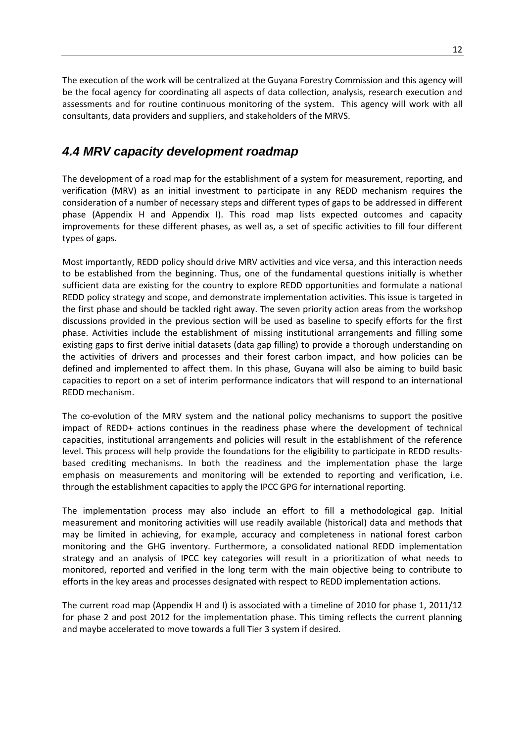The execution of the work will be centralized at the Guyana Forestry Commission and this agency will be the focal agency for coordinating all aspects of data collection, analysis, research execution and assessments and for routine continuous monitoring of the system. This agency will work with all consultants, data providers and suppliers, and stakeholders of the MRVS.

### *4.4 MRV capacity development roadmap*

The development of a road map for the establishment of a system for measurement, reporting, and verification (MRV) as an initial investment to participate in any REDD mechanism requires the consideration of a number of necessary steps and different types of gaps to be addressed in different phase (Appendix H and Appendix I). This road map lists expected outcomes and capacity improvements for these different phases, as well as, a set of specific activities to fill four different types of gaps.

Most importantly, REDD policy should drive MRV activities and vice versa, and this interaction needs to be established from the beginning. Thus, one of the fundamental questions initially is whether sufficient data are existing for the country to explore REDD opportunities and formulate a national REDD policy strategy and scope, and demonstrate implementation activities. This issue is targeted in the first phase and should be tackled right away. The seven priority action areas from the workshop discussions provided in the previous section will be used as baseline to specify efforts for the first phase. Activities include the establishment of missing institutional arrangements and filling some existing gaps to first derive initial datasets (data gap filling) to provide a thorough understanding on the activities of drivers and processes and their forest carbon impact, and how policies can be defined and implemented to affect them. In this phase, Guyana will also be aiming to build basic capacities to report on a set of interim performance indicators that will respond to an international REDD mechanism.

The co-evolution of the MRV system and the national policy mechanisms to support the positive impact of REDD+ actions continues in the readiness phase where the development of technical capacities, institutional arrangements and policies will result in the establishment of the reference level. This process will help provide the foundations for the eligibility to participate in REDD resultsbased crediting mechanisms. In both the readiness and the implementation phase the large emphasis on measurements and monitoring will be extended to reporting and verification, i.e. through the establishment capacities to apply the IPCC GPG for international reporting.

The implementation process may also include an effort to fill a methodological gap. Initial measurement and monitoring activities will use readily available (historical) data and methods that may be limited in achieving, for example, accuracy and completeness in national forest carbon monitoring and the GHG inventory. Furthermore, a consolidated national REDD implementation strategy and an analysis of IPCC key categories will result in a prioritization of what needs to monitored, reported and verified in the long term with the main objective being to contribute to efforts in the key areas and processes designated with respect to REDD implementation actions.

The current road map (Appendix H and I) is associated with a timeline of 2010 for phase 1, 2011/12 for phase 2 and post 2012 for the implementation phase. This timing reflects the current planning and maybe accelerated to move towards a full Tier 3 system if desired.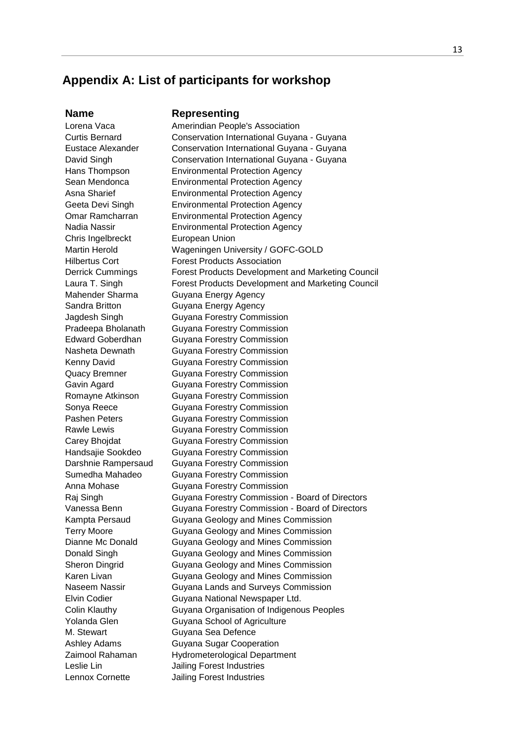### **Appendix A: List of participants for workshop**

#### **Name Representing**

Lorena Vaca **Amerindian People's Association** Curtis Bernard Conservation International Guyana - Guyana Eustace Alexander Conservation International Guyana - Guyana David Singh **Conservation International Guyana - Guyana** Hans Thompson Environmental Protection Agency Sean Mendonca Environmental Protection Agency Asna Sharief Environmental Protection Agency Geeta Devi Singh Environmental Protection Agency Omar Ramcharran Environmental Protection Agency Nadia Nassir Environmental Protection Agency Chris Ingelbreckt European Union Martin Herold Wageningen University / GOFC-GOLD Hilbertus Cort Forest Products Association Derrick Cummings Forest Products Development and Marketing Council Laura T. Singh **Forest Products Development and Marketing Council** Mahender Sharma **Guyana Energy Agency** Sandra Britton **Guyana Energy Agency** Jagdesh Singh Guyana Forestry Commission Pradeepa Bholanath Guyana Forestry Commission Edward Goberdhan Guyana Forestry Commission Nasheta Dewnath Guyana Forestry Commission Kenny David **Guyana Forestry Commission** Quacy Bremner Guyana Forestry Commission Gavin Agard Guyana Forestry Commission Romayne Atkinson Guyana Forestry Commission Sonya Reece **Guyana Forestry Commission** Pashen Peters Guyana Forestry Commission Rawle Lewis **Guyana Forestry Commission** Carey Bhojdat Guyana Forestry Commission Handsajie Sookdeo Guyana Forestry Commission Darshnie Rampersaud Guyana Forestry Commission Sumedha Mahadeo Guyana Forestry Commission Anna Mohase Guyana Forestry Commission Raj Singh Guyana Forestry Commission - Board of Directors Vanessa Benn Guyana Forestry Commission - Board of Directors Kampta Persaud Guyana Geology and Mines Commission Terry Moore Guyana Geology and Mines Commission Dianne Mc Donald Guyana Geology and Mines Commission Donald Singh Guyana Geology and Mines Commission Sheron Dingrid Guyana Geology and Mines Commission Karen Livan **Guyana Geology and Mines Commission** Naseem Nassir Guyana Lands and Surveys Commission Elvin Codier **Guyana National Newspaper Ltd.** Colin Klauthy Guyana Organisation of Indigenous Peoples Yolanda Glen Guyana School of Agriculture M. Stewart **Guyana Sea Defence** Ashley Adams Guyana Sugar Cooperation Zaimool Rahaman Hydrometerological Department Leslie Lin Jailing Forest Industries Lennox Cornette Jailing Forest Industries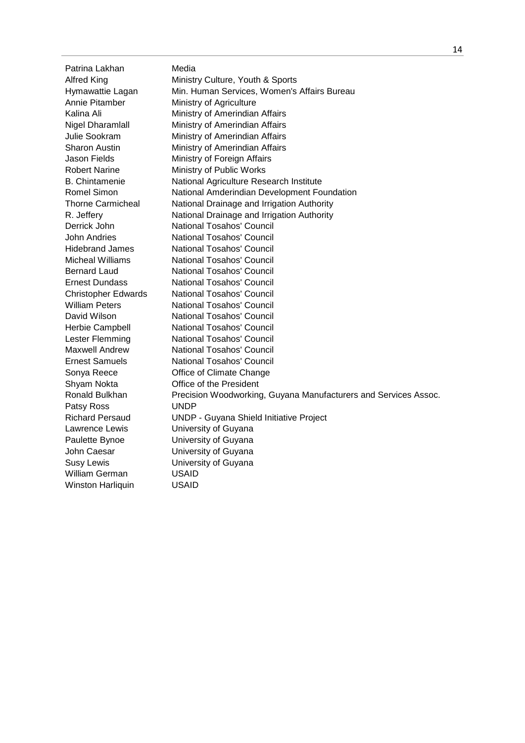Patrina Lakhan Media Alfred King **Ministry Culture, Youth & Sports** Hymawattie Lagan Min. Human Services, Women's Affairs Bureau Annie Pitamber Ministry of Agriculture Kalina Ali **Ministry of Amerindian Affairs** Nigel Dharamlall Ministry of Amerindian Affairs Julie Sookram Ministry of Amerindian Affairs Sharon Austin Ministry of Amerindian Affairs Jason Fields Ministry of Foreign Affairs Robert Narine Ministry of Public Works B. Chintamenie National Agriculture Research Institute Romel Simon National Amderindian Development Foundation Thorne Carmicheal National Drainage and Irrigation Authority R. Jeffery **National Drainage and Irrigation Authority** Derrick John National Tosahos' Council John Andries **National Tosahos' Council** Hidebrand James National Tosahos' Council Micheal Williams National Tosahos' Council Bernard Laud National Tosahos' Council Ernest Dundass National Tosahos' Council Christopher Edwards National Tosahos' Council William Peters National Tosahos' Council David Wilson National Tosahos' Council Herbie Campbell National Tosahos' Council Lester Flemming National Tosahos' Council Maxwell Andrew National Tosahos' Council Ernest Samuels National Tosahos' Council Sonya Reece **Office of Climate Change** Shyam Nokta Office of the President Ronald Bulkhan Precision Woodworking, Guyana Manufacturers and Services Assoc. Patsy Ross UNDP Richard Persaud UNDP - Guyana Shield Initiative Project Lawrence Lewis University of Guyana Paulette Bynoe University of Guyana John Caesar University of Guyana Susy Lewis University of Guyana William German USAID Winston Harliquin USAID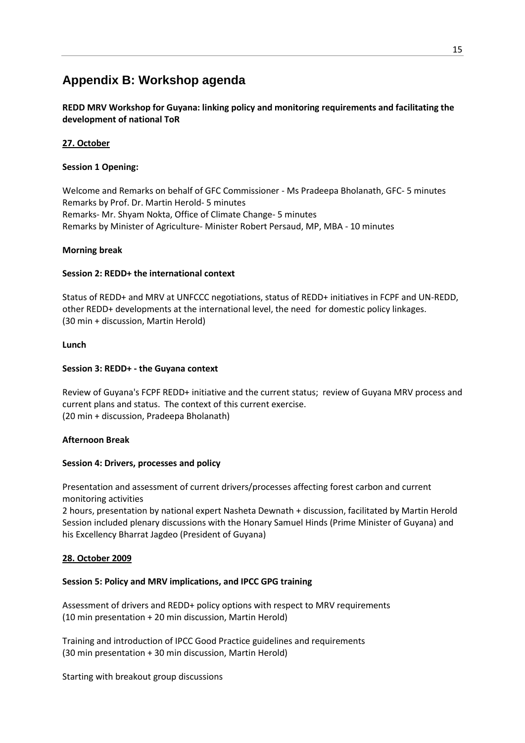### **Appendix B: Workshop agenda**

**REDD MRV Workshop for Guyana: linking policy and monitoring requirements and facilitating the development of national ToR** 

#### **27. October**

#### **Session 1 Opening:**

Welcome and Remarks on behalf of GFC Commissioner - Ms Pradeepa Bholanath, GFC- 5 minutes Remarks by Prof. Dr. Martin Herold- 5 minutes Remarks- Mr. Shyam Nokta, Office of Climate Change- 5 minutes Remarks by Minister of Agriculture- Minister Robert Persaud, MP, MBA - 10 minutes

#### **Morning break**

#### **Session 2: REDD+ the international context**

Status of REDD+ and MRV at UNFCCC negotiations, status of REDD+ initiatives in FCPF and UN-REDD, other REDD+ developments at the international level, the need for domestic policy linkages. (30 min + discussion, Martin Herold)

#### **Lunch**

#### **Session 3: REDD+ - the Guyana context**

Review of Guyana's FCPF REDD+ initiative and the current status; review of Guyana MRV process and current plans and status. The context of this current exercise. (20 min + discussion, Pradeepa Bholanath)

#### **Afternoon Break**

#### **Session 4: Drivers, processes and policy**

Presentation and assessment of current drivers/processes affecting forest carbon and current monitoring activities

2 hours, presentation by national expert Nasheta Dewnath + discussion, facilitated by Martin Herold Session included plenary discussions with the Honary Samuel Hinds (Prime Minister of Guyana) and his Excellency Bharrat Jagdeo (President of Guyana)

#### **28. October 2009**

#### **Session 5: Policy and MRV implications, and IPCC GPG training**

Assessment of drivers and REDD+ policy options with respect to MRV requirements (10 min presentation + 20 min discussion, Martin Herold)

Training and introduction of IPCC Good Practice guidelines and requirements (30 min presentation + 30 min discussion, Martin Herold)

Starting with breakout group discussions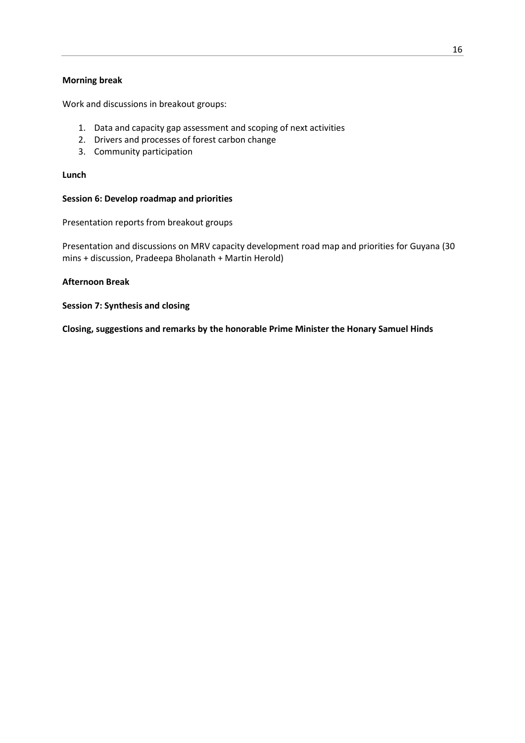#### **Morning break**

Work and discussions in breakout groups:

- 1. Data and capacity gap assessment and scoping of next activities
- 2. Drivers and processes of forest carbon change
- 3. Community participation

#### **Lunch**

#### **Session 6: Develop roadmap and priorities**

Presentation reports from breakout groups

Presentation and discussions on MRV capacity development road map and priorities for Guyana (30 mins + discussion, Pradeepa Bholanath + Martin Herold)

#### **Afternoon Break**

**Session 7: Synthesis and closing**

**Closing, suggestions and remarks by the honorable Prime Minister the Honary Samuel Hinds**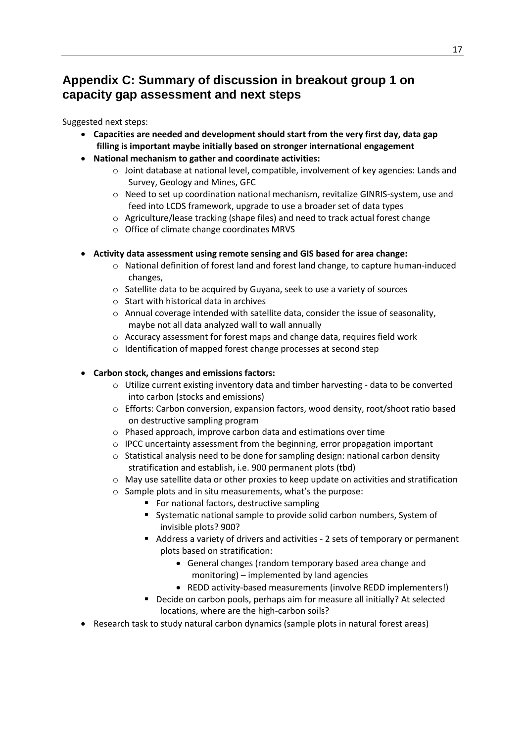### **Appendix C: Summary of discussion in breakout group 1 on capacity gap assessment and next steps**

Suggested next steps:

- **Capacities are needed and development should start from the very first day, data gap filling is important maybe initially based on stronger international engagement**
- **National mechanism to gather and coordinate activities:**
	- $\circ$  Joint database at national level, compatible, involvement of key agencies: Lands and Survey, Geology and Mines, GFC
	- o Need to set up coordination national mechanism, revitalize GINRIS-system, use and feed into LCDS framework, upgrade to use a broader set of data types
	- o Agriculture/lease tracking (shape files) and need to track actual forest change
	- o Office of climate change coordinates MRVS

#### **Activity data assessment using remote sensing and GIS based for area change:**

- o National definition of forest land and forest land change, to capture human-induced changes,
- o Satellite data to be acquired by Guyana, seek to use a variety of sources
- o Start with historical data in archives
- o Annual coverage intended with satellite data, consider the issue of seasonality, maybe not all data analyzed wall to wall annually
- o Accuracy assessment for forest maps and change data, requires field work
- o Identification of mapped forest change processes at second step

#### **Carbon stock, changes and emissions factors:**

- $\circ$  Utilize current existing inventory data and timber harvesting data to be converted into carbon (stocks and emissions)
- o Efforts: Carbon conversion, expansion factors, wood density, root/shoot ratio based on destructive sampling program
- o Phased approach, improve carbon data and estimations over time
- o IPCC uncertainty assessment from the beginning, error propagation important
- o Statistical analysis need to be done for sampling design: national carbon density stratification and establish, i.e. 900 permanent plots (tbd)
- $\circ$  May use satellite data or other proxies to keep update on activities and stratification
- o Sample plots and in situ measurements, what's the purpose:
	- **F** For national factors, destructive sampling
	- Systematic national sample to provide solid carbon numbers, System of invisible plots? 900?
	- Address a variety of drivers and activities 2 sets of temporary or permanent plots based on stratification:
		- General changes (random temporary based area change and monitoring) – implemented by land agencies
		- REDD activity-based measurements (involve REDD implementers!)
	- Decide on carbon pools, perhaps aim for measure all initially? At selected locations, where are the high-carbon soils?
- Research task to study natural carbon dynamics (sample plots in natural forest areas)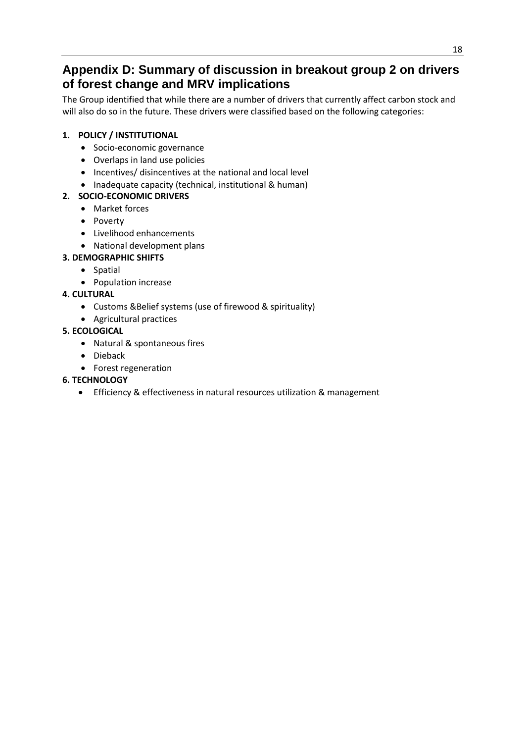### **Appendix D: Summary of discussion in breakout group 2 on drivers of forest change and MRV implications**

The Group identified that while there are a number of drivers that currently affect carbon stock and will also do so in the future. These drivers were classified based on the following categories:

#### **1. POLICY / INSTITUTIONAL**

- Socio-economic governance
- Overlaps in land use policies
- Incentives/ disincentives at the national and local level
- Inadequate capacity (technical, institutional & human)

#### **2. SOCIO-ECONOMIC DRIVERS**

- Market forces
- Poverty
- Livelihood enhancements
- National development plans
- **3. DEMOGRAPHIC SHIFTS**
	- Spatial
		- Population increase

#### **4. CULTURAL**

- Customs &Belief systems (use of firewood & spirituality)
- Agricultural practices

#### **5. ECOLOGICAL**

- Natural & spontaneous fires
- Dieback
- Forest regeneration

#### **6. TECHNOLOGY**

Efficiency & effectiveness in natural resources utilization & management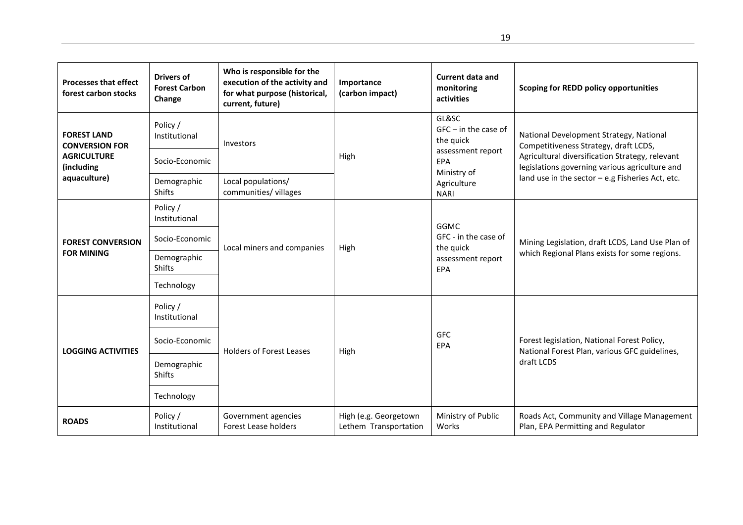| <b>Processes that effect</b><br>forest carbon stocks | <b>Drivers of</b><br><b>Forest Carbon</b><br>Change | Who is responsible for the<br>execution of the activity and<br>for what purpose (historical,<br>current, future) | Importance<br>(carbon impact)                  | <b>Current data and</b><br>monitoring<br>activities           | <b>Scoping for REDD policy opportunities</b>                                                      |  |  |
|------------------------------------------------------|-----------------------------------------------------|------------------------------------------------------------------------------------------------------------------|------------------------------------------------|---------------------------------------------------------------|---------------------------------------------------------------------------------------------------|--|--|
| <b>FOREST LAND</b><br><b>CONVERSION FOR</b>          | Policy /<br>Institutional                           | Investors                                                                                                        |                                                | GL&SC<br>$GFC - in the case of$<br>the quick                  | National Development Strategy, National<br>Competitiveness Strategy, draft LCDS,                  |  |  |
| <b>AGRICULTURE</b><br>(including                     | Socio-Economic                                      |                                                                                                                  | High                                           | assessment report<br>EPA<br>Ministry of                       | Agricultural diversification Strategy, relevant<br>legislations governing various agriculture and |  |  |
| aquaculture)                                         | Demographic<br><b>Shifts</b>                        | Local populations/<br>communities/ villages                                                                      |                                                | Agriculture<br><b>NARI</b>                                    | land use in the sector - e.g Fisheries Act, etc.                                                  |  |  |
|                                                      | Policy /<br>Institutional                           |                                                                                                                  |                                                | <b>GGMC</b>                                                   |                                                                                                   |  |  |
| <b>FOREST CONVERSION</b>                             | Socio-Economic                                      | Local miners and companies                                                                                       | High                                           | GFC - in the case of<br>the quick<br>assessment report<br>EPA | Mining Legislation, draft LCDS, Land Use Plan of                                                  |  |  |
| <b>FOR MINING</b>                                    | Demographic<br><b>Shifts</b>                        |                                                                                                                  |                                                |                                                               | which Regional Plans exists for some regions.                                                     |  |  |
|                                                      | Technology                                          |                                                                                                                  |                                                |                                                               |                                                                                                   |  |  |
|                                                      | Policy /<br>Institutional                           |                                                                                                                  |                                                |                                                               |                                                                                                   |  |  |
| <b>LOGGING ACTIVITIES</b>                            | Socio-Economic                                      | <b>Holders of Forest Leases</b>                                                                                  | High                                           | <b>GFC</b><br>EPA                                             | Forest legislation, National Forest Policy,<br>National Forest Plan, various GFC guidelines,      |  |  |
|                                                      | Demographic<br><b>Shifts</b>                        |                                                                                                                  |                                                |                                                               | draft LCDS                                                                                        |  |  |
|                                                      | Technology                                          |                                                                                                                  |                                                |                                                               |                                                                                                   |  |  |
| <b>ROADS</b>                                         | Policy /<br>Institutional                           | Government agencies<br>Forest Lease holders                                                                      | High (e.g. Georgetown<br>Lethem Transportation | Ministry of Public<br>Works                                   | Roads Act, Community and Village Management<br>Plan, EPA Permitting and Regulator                 |  |  |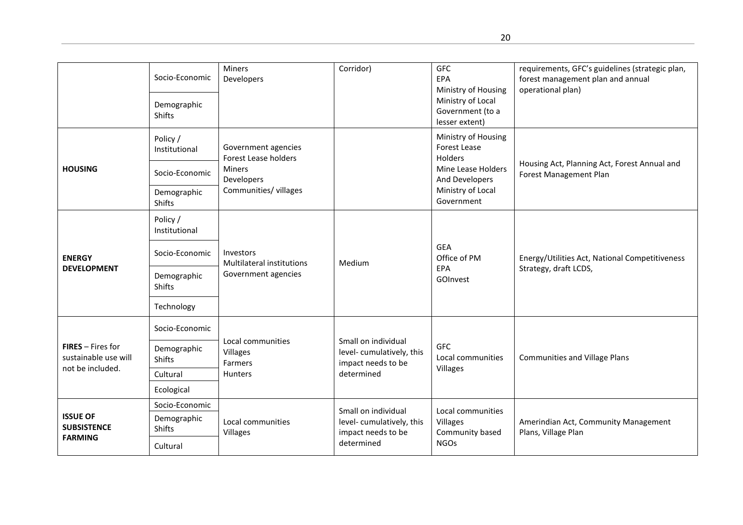|                                                         | Socio-Economic<br>Demographic<br><b>Shifts</b>             | Miners<br>Developers                                                                                       | Corridor)                                                             | <b>GFC</b><br>EPA<br>Ministry of Housing<br>Ministry of Local<br>Government (to a<br>lesser extent)         | requirements, GFC's guidelines (strategic plan,<br>forest management plan and annual<br>operational plan) |  |
|---------------------------------------------------------|------------------------------------------------------------|------------------------------------------------------------------------------------------------------------|-----------------------------------------------------------------------|-------------------------------------------------------------------------------------------------------------|-----------------------------------------------------------------------------------------------------------|--|
| <b>HOUSING</b>                                          | Policy /<br>Institutional<br>Socio-Economic<br>Demographic | Government agencies<br><b>Forest Lease holders</b><br><b>Miners</b><br>Developers<br>Communities/ villages |                                                                       | Ministry of Housing<br>Forest Lease<br>Holders<br>Mine Lease Holders<br>And Developers<br>Ministry of Local | Housing Act, Planning Act, Forest Annual and<br>Forest Management Plan                                    |  |
|                                                         | <b>Shifts</b>                                              |                                                                                                            |                                                                       | Government                                                                                                  |                                                                                                           |  |
|                                                         | Policy /<br>Institutional                                  |                                                                                                            |                                                                       |                                                                                                             | Energy/Utilities Act, National Competitiveness                                                            |  |
| <b>ENERGY</b>                                           | Socio-Economic                                             | Investors<br>Multilateral institutions                                                                     | Medium                                                                | GEA<br>Office of PM<br>EPA<br>GOInvest                                                                      |                                                                                                           |  |
| <b>DEVELOPMENT</b>                                      | Demographic<br><b>Shifts</b>                               | Government agencies                                                                                        |                                                                       |                                                                                                             | Strategy, draft LCDS,                                                                                     |  |
|                                                         | Technology                                                 |                                                                                                            |                                                                       |                                                                                                             |                                                                                                           |  |
|                                                         | Socio-Economic                                             |                                                                                                            |                                                                       |                                                                                                             |                                                                                                           |  |
| <b>FIRES</b> - Fires for<br>sustainable use will        | Demographic<br><b>Shifts</b>                               | Local communities<br>Villages<br>Farmers                                                                   | Small on individual<br>level-cumulatively, this<br>impact needs to be | <b>GFC</b><br>Local communities                                                                             | <b>Communities and Village Plans</b>                                                                      |  |
| not be included.                                        | Cultural                                                   | <b>Hunters</b>                                                                                             | determined                                                            | Villages                                                                                                    |                                                                                                           |  |
|                                                         | Ecological                                                 |                                                                                                            |                                                                       |                                                                                                             |                                                                                                           |  |
|                                                         | Socio-Economic                                             |                                                                                                            | Small on individual                                                   | Local communities                                                                                           |                                                                                                           |  |
| <b>ISSUE OF</b><br><b>SUBSISTENCE</b><br><b>FARMING</b> | Demographic<br><b>Shifts</b>                               | Local communities<br>Villages                                                                              | level-cumulatively, this<br>impact needs to be                        | Villages<br>Community based                                                                                 | Amerindian Act, Community Management<br>Plans, Village Plan                                               |  |
|                                                         | Cultural                                                   |                                                                                                            | determined                                                            | <b>NGOs</b>                                                                                                 |                                                                                                           |  |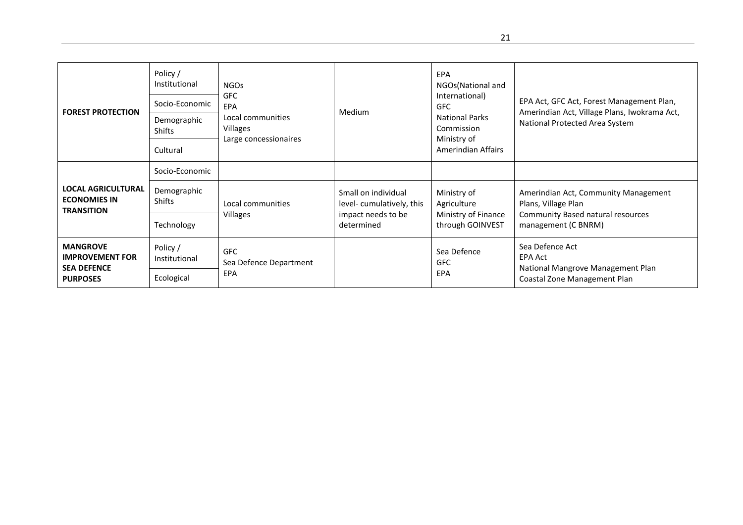| <b>FOREST PROTECTION</b>                                                           | Policy /<br>Institutional<br>Socio-Economic<br>Demographic<br><b>Shifts</b><br>Cultural | <b>NGOs</b><br><b>GFC</b><br>EPA<br>Local communities<br>Villages<br>Large concessionaires | EPA<br>NGOs(National and<br>International)<br><b>GFC</b><br>Medium<br><b>National Parks</b><br>Commission<br>Ministry of<br>Amerindian Affairs |                                         | EPA Act, GFC Act, Forest Management Plan,<br>Amerindian Act, Village Plans, Iwokrama Act,<br>National Protected Area System |  |
|------------------------------------------------------------------------------------|-----------------------------------------------------------------------------------------|--------------------------------------------------------------------------------------------|------------------------------------------------------------------------------------------------------------------------------------------------|-----------------------------------------|-----------------------------------------------------------------------------------------------------------------------------|--|
|                                                                                    | Socio-Economic                                                                          |                                                                                            |                                                                                                                                                |                                         |                                                                                                                             |  |
| LOCAL AGRICULTURAL<br><b>ECONOMIES IN</b><br><b>TRANSITION</b>                     | Demographic<br><b>Shifts</b>                                                            | Local communities                                                                          | Small on individual<br>level-cumulatively, this                                                                                                | Ministry of<br>Agriculture              | Amerindian Act, Community Management<br>Plans, Village Plan                                                                 |  |
|                                                                                    | Technology                                                                              | <b>Villages</b>                                                                            | impact needs to be<br>determined                                                                                                               | Ministry of Finance<br>through GOINVEST | Community Based natural resources<br>management (C BNRM)                                                                    |  |
| <b>MANGROVE</b><br><b>IMPROVEMENT FOR</b><br><b>SEA DEFENCE</b><br><b>PURPOSES</b> | Policy /<br>Institutional                                                               | <b>GFC</b><br>Sea Defence Department                                                       |                                                                                                                                                | Sea Defence<br><b>GFC</b>               | Sea Defence Act<br><b>EPA Act</b>                                                                                           |  |
|                                                                                    | Ecological                                                                              | EPA                                                                                        |                                                                                                                                                | EPA                                     | National Mangrove Management Plan<br>Coastal Zone Management Plan                                                           |  |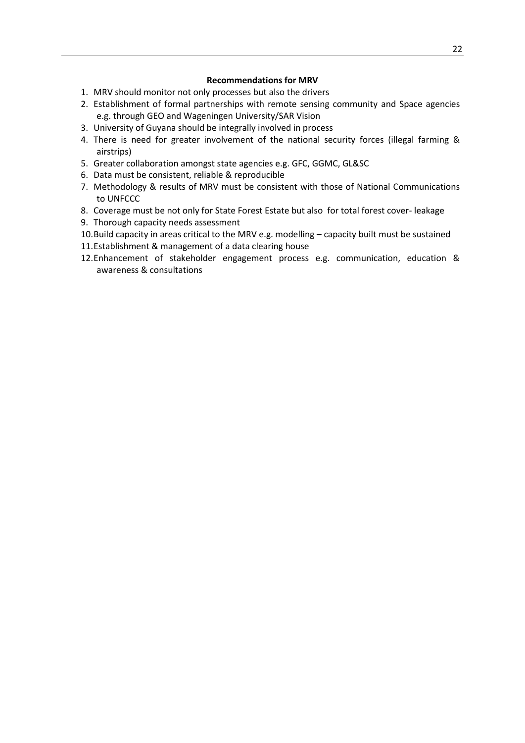#### **Recommendations for MRV**

- 1. MRV should monitor not only processes but also the drivers
- 2. Establishment of formal partnerships with remote sensing community and Space agencies e.g. through GEO and Wageningen University/SAR Vision
- 3. University of Guyana should be integrally involved in process
- 4. There is need for greater involvement of the national security forces (illegal farming & airstrips)
- 5. Greater collaboration amongst state agencies e.g. GFC, GGMC, GL&SC
- 6. Data must be consistent, reliable & reproducible
- 7. Methodology & results of MRV must be consistent with those of National Communications to UNFCCC
- 8. Coverage must be not only for State Forest Estate but also for total forest cover- leakage
- 9. Thorough capacity needs assessment
- 10.Build capacity in areas critical to the MRV e.g. modelling capacity built must be sustained
- 11.Establishment & management of a data clearing house
- 12.Enhancement of stakeholder engagement process e.g. communication, education & awareness & consultations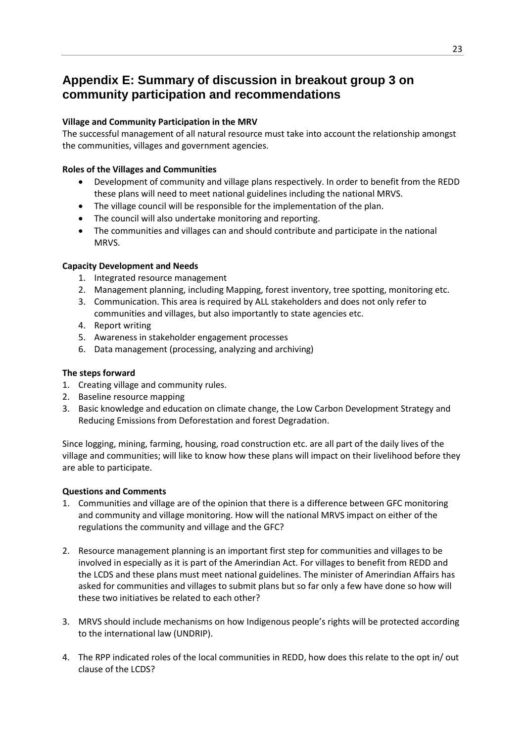### **Appendix E: Summary of discussion in breakout group 3 on community participation and recommendations**

#### **Village and Community Participation in the MRV**

The successful management of all natural resource must take into account the relationship amongst the communities, villages and government agencies.

#### **Roles of the Villages and Communities**

- Development of community and village plans respectively. In order to benefit from the REDD these plans will need to meet national guidelines including the national MRVS.
- The village council will be responsible for the implementation of the plan.
- The council will also undertake monitoring and reporting.
- The communities and villages can and should contribute and participate in the national MRVS.

#### **Capacity Development and Needs**

- 1. Integrated resource management
- 2. Management planning, including Mapping, forest inventory, tree spotting, monitoring etc.
- 3. Communication. This area is required by ALL stakeholders and does not only refer to communities and villages, but also importantly to state agencies etc.
- 4. Report writing
- 5. Awareness in stakeholder engagement processes
- 6. Data management (processing, analyzing and archiving)

#### **The steps forward**

- 1. Creating village and community rules.
- 2. Baseline resource mapping
- 3. Basic knowledge and education on climate change, the Low Carbon Development Strategy and Reducing Emissions from Deforestation and forest Degradation.

Since logging, mining, farming, housing, road construction etc. are all part of the daily lives of the village and communities; will like to know how these plans will impact on their livelihood before they are able to participate.

#### **Questions and Comments**

- 1. Communities and village are of the opinion that there is a difference between GFC monitoring and community and village monitoring. How will the national MRVS impact on either of the regulations the community and village and the GFC?
- 2. Resource management planning is an important first step for communities and villages to be involved in especially as it is part of the Amerindian Act. For villages to benefit from REDD and the LCDS and these plans must meet national guidelines. The minister of Amerindian Affairs has asked for communities and villages to submit plans but so far only a few have done so how will these two initiatives be related to each other?
- 3. MRVS should include mechanisms on how Indigenous people's rights will be protected according to the international law (UNDRIP).
- 4. The RPP indicated roles of the local communities in REDD, how does this relate to the opt in/ out clause of the LCDS?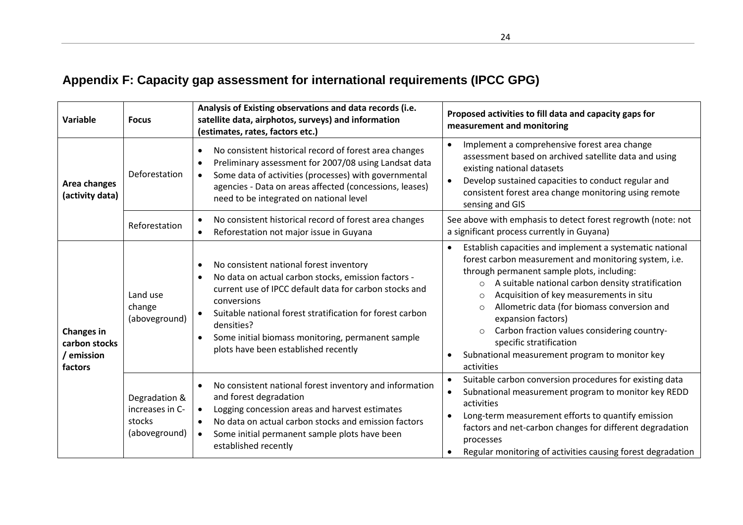# **Appendix F: Capacity gap assessment for international requirements (IPCC GPG)**

| Variable                                                    | <b>Focus</b>                                                | Analysis of Existing observations and data records (i.e.<br>satellite data, airphotos, surveys) and information<br>(estimates, rates, factors etc.)                                                                                                                                                                                                                                    | Proposed activities to fill data and capacity gaps for<br>measurement and monitoring                                                                                                                                                                                                                                                                                                                                                                                                                                         |  |  |  |
|-------------------------------------------------------------|-------------------------------------------------------------|----------------------------------------------------------------------------------------------------------------------------------------------------------------------------------------------------------------------------------------------------------------------------------------------------------------------------------------------------------------------------------------|------------------------------------------------------------------------------------------------------------------------------------------------------------------------------------------------------------------------------------------------------------------------------------------------------------------------------------------------------------------------------------------------------------------------------------------------------------------------------------------------------------------------------|--|--|--|
| Area changes<br>(activity data)                             | Deforestation                                               | No consistent historical record of forest area changes<br>$\bullet$<br>Preliminary assessment for 2007/08 using Landsat data<br>$\bullet$<br>Some data of activities (processes) with governmental<br>$\bullet$<br>agencies - Data on areas affected (concessions, leases)<br>need to be integrated on national level                                                                  | Implement a comprehensive forest area change<br>$\bullet$<br>assessment based on archived satellite data and using<br>existing national datasets<br>Develop sustained capacities to conduct regular and<br>$\bullet$<br>consistent forest area change monitoring using remote<br>sensing and GIS                                                                                                                                                                                                                             |  |  |  |
|                                                             | Reforestation                                               | No consistent historical record of forest area changes<br>$\bullet$<br>Reforestation not major issue in Guyana<br>$\bullet$                                                                                                                                                                                                                                                            | See above with emphasis to detect forest regrowth (note: not<br>a significant process currently in Guyana)                                                                                                                                                                                                                                                                                                                                                                                                                   |  |  |  |
| <b>Changes in</b><br>carbon stocks<br>/ emission<br>factors | Land use<br>change<br>(aboveground)                         | No consistent national forest inventory<br>$\bullet$<br>No data on actual carbon stocks, emission factors -<br>$\bullet$<br>current use of IPCC default data for carbon stocks and<br>conversions<br>Suitable national forest stratification for forest carbon<br>densities?<br>Some initial biomass monitoring, permanent sample<br>$\bullet$<br>plots have been established recently | Establish capacities and implement a systematic national<br>$\bullet$<br>forest carbon measurement and monitoring system, i.e.<br>through permanent sample plots, including:<br>A suitable national carbon density stratification<br>$\circ$<br>Acquisition of key measurements in situ<br>$\circ$<br>Allometric data (for biomass conversion and<br>expansion factors)<br>Carbon fraction values considering country-<br>$\circ$<br>specific stratification<br>Subnational measurement program to monitor key<br>activities |  |  |  |
|                                                             | Degradation &<br>increases in C-<br>stocks<br>(aboveground) | No consistent national forest inventory and information<br>$\bullet$<br>and forest degradation<br>Logging concession areas and harvest estimates<br>$\bullet$<br>No data on actual carbon stocks and emission factors<br>$\bullet$<br>Some initial permanent sample plots have been<br>established recently                                                                            | Suitable carbon conversion procedures for existing data<br>Subnational measurement program to monitor key REDD<br>activities<br>Long-term measurement efforts to quantify emission<br>factors and net-carbon changes for different degradation<br>processes<br>Regular monitoring of activities causing forest degradation                                                                                                                                                                                                   |  |  |  |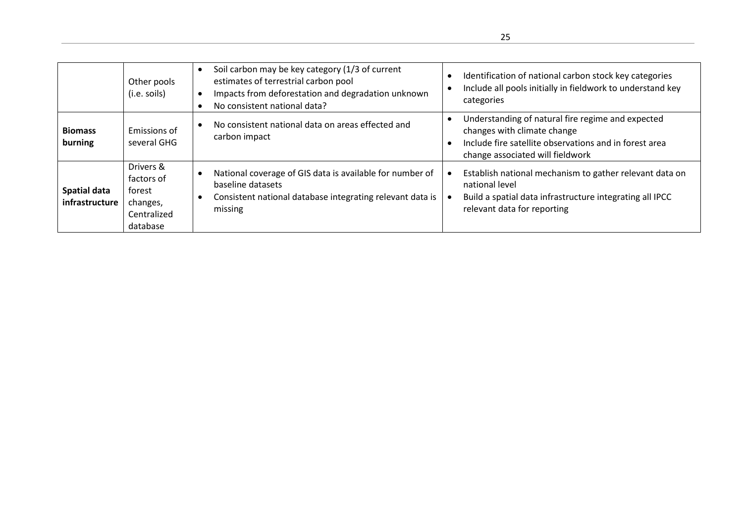|                                | Other pools<br>(i.e. soils)                                              | Soil carbon may be key category (1/3 of current<br>estimates of terrestrial carbon pool<br>Impacts from deforestation and degradation unknown<br>No consistent national data? | Identification of national carbon stock key categories<br>$\bullet$<br>Include all pools initially in fieldwork to understand key<br>categories                                             |
|--------------------------------|--------------------------------------------------------------------------|-------------------------------------------------------------------------------------------------------------------------------------------------------------------------------|---------------------------------------------------------------------------------------------------------------------------------------------------------------------------------------------|
| <b>Biomass</b><br>burning      | Emissions of<br>several GHG                                              | No consistent national data on areas effected and<br>carbon impact                                                                                                            | Understanding of natural fire regime and expected<br>$\bullet$<br>changes with climate change<br>Include fire satellite observations and in forest area<br>change associated will fieldwork |
| Spatial data<br>infrastructure | Drivers &<br>factors of<br>forest<br>changes,<br>Centralized<br>database | National coverage of GIS data is available for number of<br>baseline datasets<br>Consistent national database integrating relevant data is<br>missing                         | Establish national mechanism to gather relevant data on<br>national level<br>Build a spatial data infrastructure integrating all IPCC<br>$\bullet$<br>relevant data for reporting           |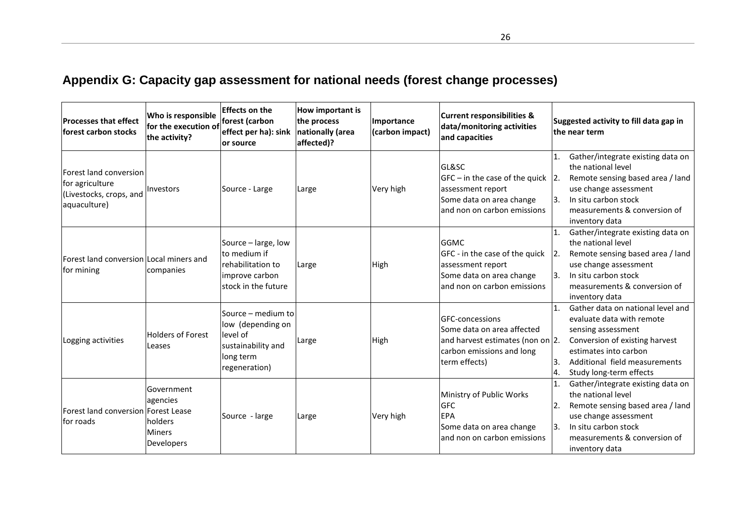# **Appendix G: Capacity gap assessment for national needs (forest change processes)**

| <b>Processes that effect</b><br>forest carbon stocks                                 | Who is responsible<br>for the execution of<br>the activity?      | <b>Effects on the</b><br>forest (carbon<br>effect per ha): sink<br>lor source                           | How important is<br>the process<br>nationally (area<br>affected)? | Importance<br>(carbon impact) | <b>Current responsibilities &amp;</b><br>data/monitoring activities<br>and capacities                                           | Suggested activity to fill data gap in<br>the near term                                                                                                                                                                          |
|--------------------------------------------------------------------------------------|------------------------------------------------------------------|---------------------------------------------------------------------------------------------------------|-------------------------------------------------------------------|-------------------------------|---------------------------------------------------------------------------------------------------------------------------------|----------------------------------------------------------------------------------------------------------------------------------------------------------------------------------------------------------------------------------|
| Forest land conversion<br>for agriculture<br>(Livestocks, crops, and<br>aquaculture) | <b>Investors</b>                                                 | Source - Large                                                                                          | Large                                                             | Very high                     | GL&SC<br>$GFC - in the case of the quick 2.$<br>assessment report<br>Some data on area change<br>and non on carbon emissions    | Gather/integrate existing data on<br>1.<br>the national level<br>Remote sensing based area / land<br>use change assessment<br> 3.<br>In situ carbon stock<br>measurements & conversion of<br>inventory data                      |
| Forest land conversion Local miners and<br>for mining                                | companies                                                        | Source - large, low<br>to medium if<br>rehabilitation to<br>improve carbon<br>stock in the future       | Large                                                             | High                          | <b>GGMC</b><br>GFC - in the case of the quick<br>assessment report<br>Some data on area change<br>and non on carbon emissions   | Gather/integrate existing data on<br>۱1.<br>the national level<br>Remote sensing based area / land<br> 2.<br>use change assessment<br>In situ carbon stock<br> 3.<br>measurements & conversion of<br>inventory data              |
| Logging activities                                                                   | <b>Holders of Forest</b><br>Leases                               | Source - medium to<br>low (depending on<br>level of<br>sustainability and<br>long term<br>regeneration) | Large                                                             | High                          | GFC-concessions<br>Some data on area affected<br>and harvest estimates (non on 2.<br>carbon emissions and long<br>term effects) | Gather data on national level and<br>11.<br>evaluate data with remote<br>sensing assessment<br>Conversion of existing harvest<br>estimates into carbon<br>Additional field measurements<br>13.<br>Study long-term effects<br>Ι4. |
| Forest land conversion Forest Lease<br>for roads                                     | Government<br>agencies<br>holders<br><b>Miners</b><br>Developers | Source - large                                                                                          | Large                                                             | Very high                     | Ministry of Public Works<br><b>GFC</b><br><b>EPA</b><br>Some data on area change<br>and non on carbon emissions                 | Gather/integrate existing data on<br>1.<br>the national level<br>Remote sensing based area / land<br>$\overline{2}$<br>use change assessment<br>In situ carbon stock<br> 3.<br>measurements & conversion of<br>inventory data    |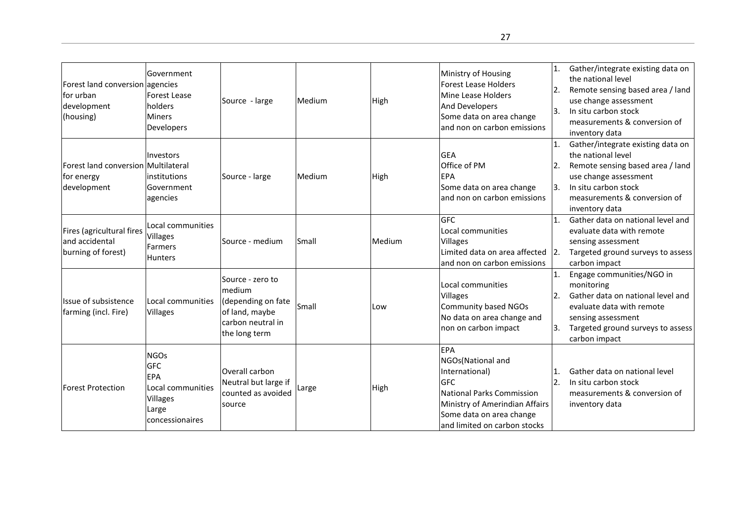| Forest land conversion agencies<br>lfor urban<br>development<br>(housing) | Government<br>Forest Lease<br>holders<br><b>Miners</b><br>Developers                          | Source - large                                                                                           | Medium | High   | Ministry of Housing<br><b>Forest Lease Holders</b><br>Mine Lease Holders<br><b>And Developers</b><br>Some data on area change<br>and non on carbon emissions                                      | $\mathbf{1}$ .<br>$\overline{2}$ .<br> 3. | Gather/integrate existing data on<br>the national level<br>Remote sensing based area / land<br>use change assessment<br>In situ carbon stock<br>measurements & conversion of<br>inventory data |
|---------------------------------------------------------------------------|-----------------------------------------------------------------------------------------------|----------------------------------------------------------------------------------------------------------|--------|--------|---------------------------------------------------------------------------------------------------------------------------------------------------------------------------------------------------|-------------------------------------------|------------------------------------------------------------------------------------------------------------------------------------------------------------------------------------------------|
| Forest land conversion Multilateral<br>for energy<br>development          | Investors<br>institutions<br>Government<br>agencies                                           | Source - large                                                                                           | Medium | High   | <b>GEA</b><br><b>Office of PM</b><br><b>EPA</b><br>Some data on area change<br>and non on carbon emissions                                                                                        | 1.<br>12.<br>3.                           | Gather/integrate existing data on<br>the national level<br>Remote sensing based area / land<br>use change assessment<br>In situ carbon stock<br>measurements & conversion of<br>inventory data |
| Fires (agricultural fires<br>and accidental<br>burning of forest)         | Local communities<br>Villages<br>Farmers<br><b>Hunters</b>                                    | lSource - medium                                                                                         | Small  | Medium | <b>GFC</b><br>Local communities<br><b>Villages</b><br>Limited data on area affected $ 2$ .<br>and non on carbon emissions                                                                         | $\mathbf{1}$                              | Gather data on national level and<br>evaluate data with remote<br>sensing assessment<br>Targeted ground surveys to assess<br>carbon impact                                                     |
| Issue of subsistence<br>farming (incl. Fire)                              | Local communities<br><b>Villages</b>                                                          | Source - zero to<br>medium<br>(depending on fate<br>of land, maybe<br>carbon neutral in<br>the long term | Small  | Low    | Local communities<br><b>Villages</b><br>Community based NGOs<br>No data on area change and<br>non on carbon impact                                                                                | 1.<br>2.<br>Ι3.                           | Engage communities/NGO in<br>monitoring<br>Gather data on national level and<br>evaluate data with remote<br>sensing assessment<br>Targeted ground surveys to assess<br>carbon impact          |
| <b>Forest Protection</b>                                                  | <b>NGOs</b><br><b>GFC</b><br>EPA<br>Local communities<br>Villages<br>Large<br>concessionaires | Overall carbon<br>Neutral but large if<br>counted as avoided<br>source                                   | Large  | High   | <b>EPA</b><br>NGOs(National and<br>International)<br><b>GFC</b><br><b>National Parks Commission</b><br>Ministry of Amerindian Affairs<br>Some data on area change<br>and limited on carbon stocks | $\mathbf{1}$<br>2.                        | Gather data on national level<br>In situ carbon stock<br>measurements & conversion of<br>inventory data                                                                                        |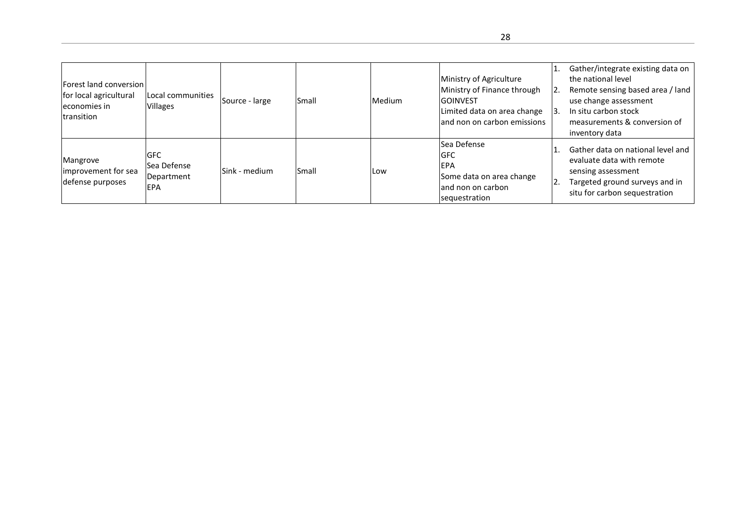| Forest land conversion<br>for local agricultural<br>economies in<br><b>Itransition</b> | Local communities<br>Villages                  | Source - large | Small | Medium | Ministry of Agriculture<br>Ministry of Finance through<br><b>GOINVEST</b><br>Limited data on area change<br>land non on carbon emissions | 2.  | Gather/integrate existing data on<br>the national level<br>Remote sensing based area / land<br>use change assessment<br>In situ carbon stock<br>measurements & conversion of<br>inventory data |
|----------------------------------------------------------------------------------------|------------------------------------------------|----------------|-------|--------|------------------------------------------------------------------------------------------------------------------------------------------|-----|------------------------------------------------------------------------------------------------------------------------------------------------------------------------------------------------|
| Mangrove<br>improvement for sea<br>defense purposes                                    | <b>GFC</b><br>Sea Defense<br>Department<br>EPA | Sink - medium  | Small | Low    | lSea Defense<br><b>GFC</b><br><b>IEPA</b><br>Some data on area change<br>land non on carbon<br>sequestration                             | 12. | Gather data on national level and<br>evaluate data with remote<br>sensing assessment<br>Targeted ground surveys and in<br>situ for carbon sequestration                                        |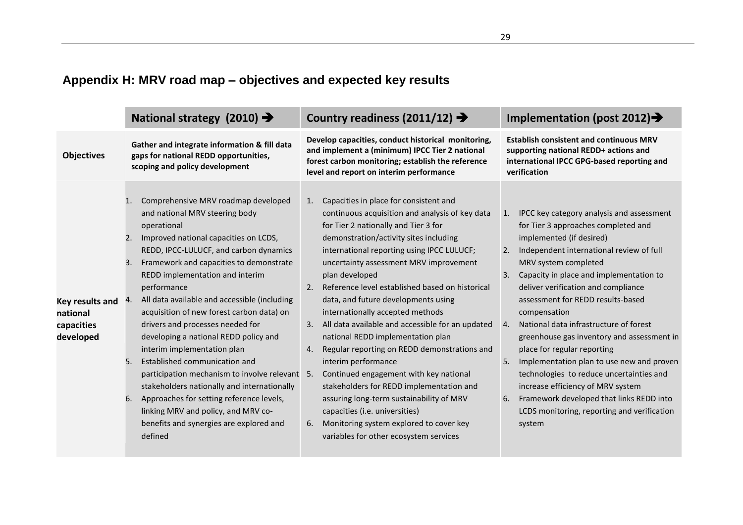# **Appendix H: MRV road map – objectives and expected key results**

|                                                        |                                  | National strategy (2010) $\rightarrow$                                                                                                                                                                                                                                                                                                                                                                                                                                                                                                                                                                                                                                                                                                                   |                            | Country readiness (2011/12) $\rightarrow$                                                                                                                                                                                                                                                                                                                                                                                                                                                                                                                                                                                                                                                                                                                                                                                                    | Implementation (post 2012) $\rightarrow$                                                                                                              |                                                                                                                                                                                                                                                                                                                                                                                                                                                                                                                                                                                                                                                                                         |  |
|--------------------------------------------------------|----------------------------------|----------------------------------------------------------------------------------------------------------------------------------------------------------------------------------------------------------------------------------------------------------------------------------------------------------------------------------------------------------------------------------------------------------------------------------------------------------------------------------------------------------------------------------------------------------------------------------------------------------------------------------------------------------------------------------------------------------------------------------------------------------|----------------------------|----------------------------------------------------------------------------------------------------------------------------------------------------------------------------------------------------------------------------------------------------------------------------------------------------------------------------------------------------------------------------------------------------------------------------------------------------------------------------------------------------------------------------------------------------------------------------------------------------------------------------------------------------------------------------------------------------------------------------------------------------------------------------------------------------------------------------------------------|-------------------------------------------------------------------------------------------------------------------------------------------------------|-----------------------------------------------------------------------------------------------------------------------------------------------------------------------------------------------------------------------------------------------------------------------------------------------------------------------------------------------------------------------------------------------------------------------------------------------------------------------------------------------------------------------------------------------------------------------------------------------------------------------------------------------------------------------------------------|--|
| <b>Objectives</b>                                      |                                  | Gather and integrate information & fill data<br>gaps for national REDD opportunities,<br>scoping and policy development                                                                                                                                                                                                                                                                                                                                                                                                                                                                                                                                                                                                                                  |                            | Develop capacities, conduct historical monitoring,<br>and implement a (minimum) IPCC Tier 2 national<br>forest carbon monitoring; establish the reference<br>level and report on interim performance                                                                                                                                                                                                                                                                                                                                                                                                                                                                                                                                                                                                                                         | <b>Establish consistent and continuous MRV</b><br>supporting national REDD+ actions and<br>international IPCC GPG-based reporting and<br>verification |                                                                                                                                                                                                                                                                                                                                                                                                                                                                                                                                                                                                                                                                                         |  |
| Key results and<br>national<br>capacities<br>developed | 1.<br>2.<br>3.<br>4.<br>5.<br>6. | Comprehensive MRV roadmap developed<br>and national MRV steering body<br>operational<br>Improved national capacities on LCDS,<br>REDD, IPCC-LULUCF, and carbon dynamics<br>Framework and capacities to demonstrate<br>REDD implementation and interim<br>performance<br>All data available and accessible (including<br>acquisition of new forest carbon data) on<br>drivers and processes needed for<br>developing a national REDD policy and<br>interim implementation plan<br>Established communication and<br>participation mechanism to involve relevant 5.<br>stakeholders nationally and internationally<br>Approaches for setting reference levels,<br>linking MRV and policy, and MRV co-<br>benefits and synergies are explored and<br>defined | 1.<br>2.<br>3.<br>4.<br>6. | Capacities in place for consistent and<br>continuous acquisition and analysis of key data<br>for Tier 2 nationally and Tier 3 for<br>demonstration/activity sites including<br>international reporting using IPCC LULUCF;<br>uncertainty assessment MRV improvement<br>plan developed<br>Reference level established based on historical<br>data, and future developments using<br>internationally accepted methods<br>All data available and accessible for an updated<br>national REDD implementation plan<br>Regular reporting on REDD demonstrations and<br>interim performance<br>Continued engagement with key national<br>stakeholders for REDD implementation and<br>assuring long-term sustainability of MRV<br>capacities (i.e. universities)<br>Monitoring system explored to cover key<br>variables for other ecosystem services | 2.<br>4.<br>5.<br>6.                                                                                                                                  | 1. IPCC key category analysis and assessment<br>for Tier 3 approaches completed and<br>implemented (if desired)<br>Independent international review of full<br>MRV system completed<br>3. Capacity in place and implementation to<br>deliver verification and compliance<br>assessment for REDD results-based<br>compensation<br>National data infrastructure of forest<br>greenhouse gas inventory and assessment in<br>place for regular reporting<br>Implementation plan to use new and proven<br>technologies to reduce uncertainties and<br>increase efficiency of MRV system<br>Framework developed that links REDD into<br>LCDS monitoring, reporting and verification<br>system |  |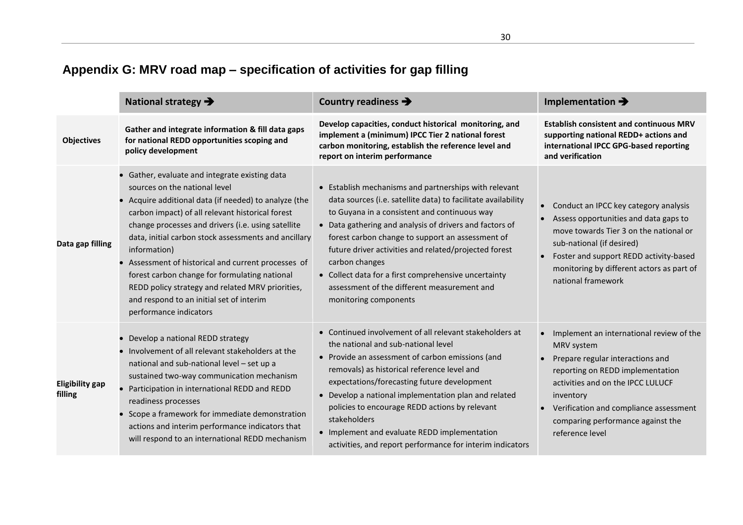|                            | National strategy $\rightarrow$                                                                                                                                                                                                                                                                                                                                                                                                                                                                                                                              | Country readiness $\rightarrow$                                                                                                                                                                                                                                                                                                                                                                                                                                                                  | Implementation $\rightarrow$                                                                                                                                                                                                                                                       |
|----------------------------|--------------------------------------------------------------------------------------------------------------------------------------------------------------------------------------------------------------------------------------------------------------------------------------------------------------------------------------------------------------------------------------------------------------------------------------------------------------------------------------------------------------------------------------------------------------|--------------------------------------------------------------------------------------------------------------------------------------------------------------------------------------------------------------------------------------------------------------------------------------------------------------------------------------------------------------------------------------------------------------------------------------------------------------------------------------------------|------------------------------------------------------------------------------------------------------------------------------------------------------------------------------------------------------------------------------------------------------------------------------------|
| <b>Objectives</b>          | Gather and integrate information & fill data gaps<br>for national REDD opportunities scoping and<br>policy development                                                                                                                                                                                                                                                                                                                                                                                                                                       | Develop capacities, conduct historical monitoring, and<br>implement a (minimum) IPCC Tier 2 national forest<br>carbon monitoring, establish the reference level and<br>report on interim performance                                                                                                                                                                                                                                                                                             | <b>Establish consistent and continuous MRV</b><br>supporting national REDD+ actions and<br>international IPCC GPG-based reporting<br>and verification                                                                                                                              |
| Data gap filling           | • Gather, evaluate and integrate existing data<br>sources on the national level<br>• Acquire additional data (if needed) to analyze (the<br>carbon impact) of all relevant historical forest<br>change processes and drivers (i.e. using satellite<br>data, initial carbon stock assessments and ancillary<br>information)<br>• Assessment of historical and current processes of<br>forest carbon change for formulating national<br>REDD policy strategy and related MRV priorities,<br>and respond to an initial set of interim<br>performance indicators | • Establish mechanisms and partnerships with relevant<br>data sources (i.e. satellite data) to facilitate availability<br>to Guyana in a consistent and continuous way<br>• Data gathering and analysis of drivers and factors of<br>forest carbon change to support an assessment of<br>future driver activities and related/projected forest<br>carbon changes<br>• Collect data for a first comprehensive uncertainty<br>assessment of the different measurement and<br>monitoring components | Conduct an IPCC key category analysis<br>Assess opportunities and data gaps to<br>move towards Tier 3 on the national or<br>sub-national (if desired)<br>Foster and support REDD activity-based<br>monitoring by different actors as part of<br>national framework                 |
| Eligibility gap<br>filling | • Develop a national REDD strategy<br>• Involvement of all relevant stakeholders at the<br>national and sub-national level - set up a<br>sustained two-way communication mechanism<br>Participation in international REDD and REDD<br>readiness processes<br>• Scope a framework for immediate demonstration<br>actions and interim performance indicators that<br>will respond to an international REDD mechanism                                                                                                                                           | • Continued involvement of all relevant stakeholders at<br>the national and sub-national level<br>• Provide an assessment of carbon emissions (and<br>removals) as historical reference level and<br>expectations/forecasting future development<br>• Develop a national implementation plan and related<br>policies to encourage REDD actions by relevant<br>stakeholders<br>• Implement and evaluate REDD implementation<br>activities, and report performance for interim indicators          | Implement an international review of the<br>MRV system<br>Prepare regular interactions and<br>reporting on REDD implementation<br>activities and on the IPCC LULUCF<br>inventory<br>Verification and compliance assessment<br>comparing performance against the<br>reference level |

# **Appendix G: MRV road map – specification of activities for gap filling**